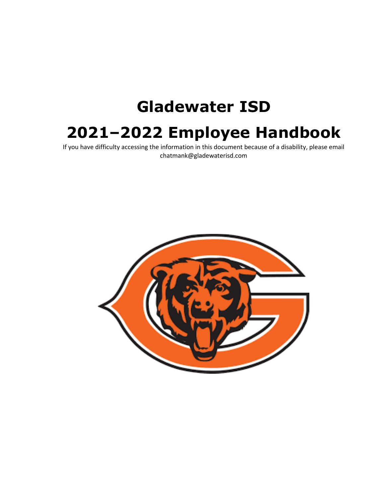# **Gladewater ISD**

## **2021–2022 Employee Handbook**

If you have difficulty accessing the information in this document because of a disability, please email chatmank@gladewaterisd.com

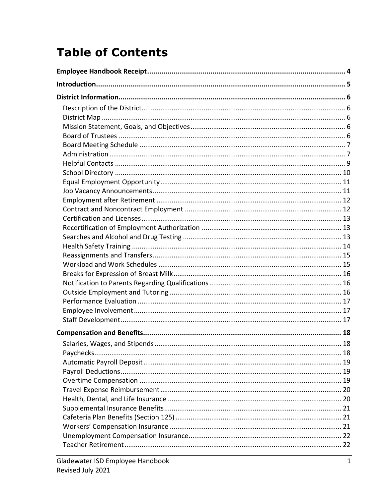## **Table of Contents**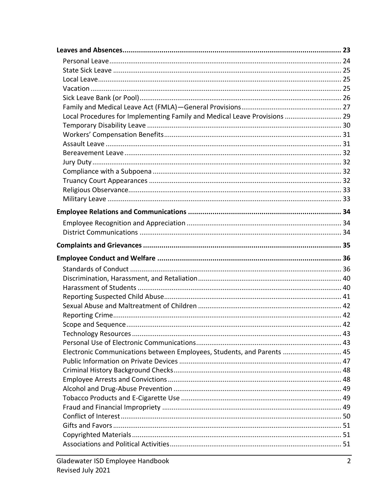| Local Procedures for Implementing Family and Medical Leave Provisions  29 |  |
|---------------------------------------------------------------------------|--|
|                                                                           |  |
|                                                                           |  |
|                                                                           |  |
|                                                                           |  |
|                                                                           |  |
|                                                                           |  |
|                                                                           |  |
|                                                                           |  |
|                                                                           |  |
|                                                                           |  |
|                                                                           |  |
|                                                                           |  |
|                                                                           |  |
|                                                                           |  |
|                                                                           |  |
|                                                                           |  |
|                                                                           |  |
|                                                                           |  |
|                                                                           |  |
|                                                                           |  |
|                                                                           |  |
|                                                                           |  |
|                                                                           |  |
|                                                                           |  |
|                                                                           |  |
| Electronic Communications between Employees, Students, and Parents  45    |  |
|                                                                           |  |
|                                                                           |  |
|                                                                           |  |
|                                                                           |  |
|                                                                           |  |
|                                                                           |  |
|                                                                           |  |
|                                                                           |  |
|                                                                           |  |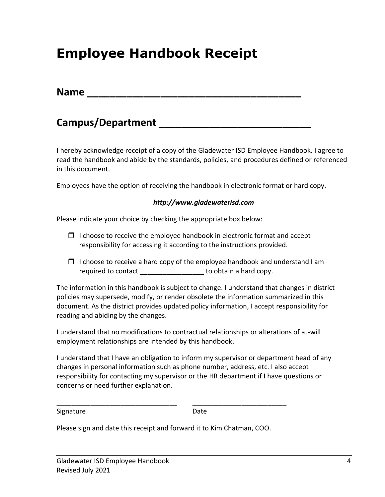## **Employee Handbook Receipt**

| <b>Name</b> |  |  |  |  |
|-------------|--|--|--|--|
|             |  |  |  |  |

### **Campus/Department \_\_\_\_\_\_\_\_\_\_\_\_\_\_\_\_\_\_\_\_\_\_\_\_\_\_\_**

I hereby acknowledge receipt of a copy of the Gladewater ISD Employee Handbook. I agree to read the handbook and abide by the standards, policies, and procedures defined or referenced in this document.

Employees have the option of receiving the handbook in electronic format or hard copy.

#### *http://www.gladewaterisd.com*

Please indicate your choice by checking the appropriate box below:

- $\Box$  I choose to receive the employee handbook in electronic format and accept responsibility for accessing it according to the instructions provided.
- $\Box$  I choose to receive a hard copy of the employee handbook and understand I am required to contact \_\_\_\_\_\_\_\_\_\_\_\_\_\_\_\_\_\_\_ to obtain a hard copy.

The information in this handbook is subject to change. I understand that changes in district policies may supersede, modify, or render obsolete the information summarized in this document. As the district provides updated policy information, I accept responsibility for reading and abiding by the changes.

I understand that no modifications to contractual relationships or alterations of at-will employment relationships are intended by this handbook.

I understand that I have an obligation to inform my supervisor or department head of any changes in personal information such as phone number, address, etc. I also accept responsibility for contacting my supervisor or the HR department if I have questions or concerns or need further explanation.

Signature Date

Please sign and date this receipt and forward it to Kim Chatman, COO.

\_\_\_\_\_\_\_\_\_\_\_\_\_\_\_\_\_\_\_\_\_\_\_\_\_\_\_\_\_\_\_\_ \_\_\_\_\_\_\_\_\_\_\_\_\_\_\_\_\_\_\_\_\_\_\_\_\_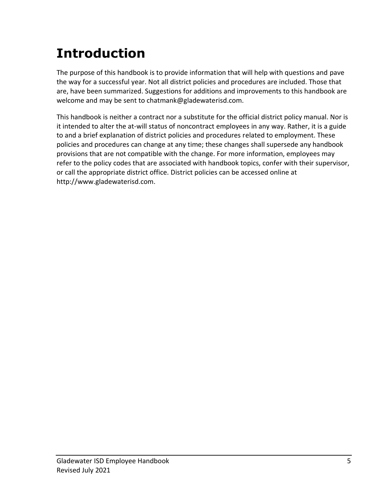## **Introduction**

The purpose of this handbook is to provide information that will help with questions and pave the way for a successful year. Not all district policies and procedures are included. Those that are, have been summarized. Suggestions for additions and improvements to this handbook are welcome and may be sent to chatmank@gladewaterisd.com.

This handbook is neither a contract nor a substitute for the official district policy manual. Nor is it intended to alter the at-will status of noncontract employees in any way. Rather, it is a guide to and a brief explanation of district policies and procedures related to employment. These policies and procedures can change at any time; these changes shall supersede any handbook provisions that are not compatible with the change. For more information, employees may refer to the policy codes that are associated with handbook topics, confer with their supervisor, or call the appropriate district office. District policies can be accessed online at http://www.gladewaterisd.com.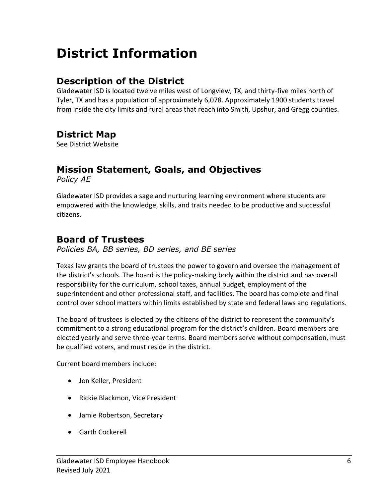## **District Information**

### **Description of the District**

Gladewater ISD is located twelve miles west of Longview, TX, and thirty-five miles north of Tyler, TX and has a population of approximately 6,078. Approximately 1900 students travel from inside the city limits and rural areas that reach into Smith, Upshur, and Gregg counties.

### **District Map**

See District Website

### **Mission Statement, Goals, and Objectives**

*Policy AE*

Gladewater ISD provides a sage and nurturing learning environment where students are empowered with the knowledge, skills, and traits needed to be productive and successful citizens.

### **Board of Trustees**

*Policies BA, BB series, BD series, and BE series*

Texas law grants the board of trustees the power to govern and oversee the management of the district's schools. The board is the policy-making body within the district and has overall responsibility for the curriculum, school taxes, annual budget, employment of the superintendent and other professional staff, and facilities. The board has complete and final control over school matters within limits established by state and federal laws and regulations.

The board of trustees is elected by the citizens of the district to represent the community's commitment to a strong educational program for the district's children. Board members are elected yearly and serve three-year terms. Board members serve without compensation, must be qualified voters, and must reside in the district.

Current board members include:

- Jon Keller, President
- Rickie Blackmon, Vice President
- Jamie Robertson, Secretary
- Garth Cockerell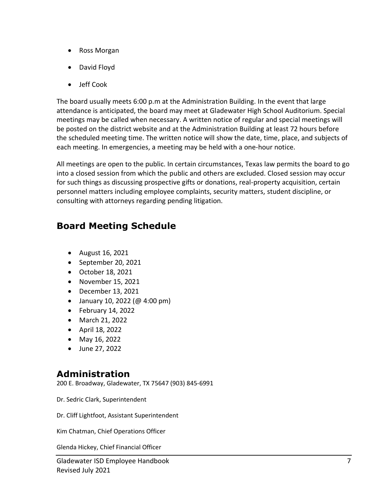- Ross Morgan
- David Floyd
- Jeff Cook

The board usually meets 6:00 p.m at the Administration Building. In the event that large attendance is anticipated, the board may meet at Gladewater High School Auditorium. Special meetings may be called when necessary. A written notice of regular and special meetings will be posted on the district website and at the Administration Building at least 72 hours before the scheduled meeting time. The written notice will show the date, time, place, and subjects of each meeting. In emergencies, a meeting may be held with a one-hour notice.

All meetings are open to the public. In certain circumstances, Texas law permits the board to go into a closed session from which the public and others are excluded. Closed session may occur for such things as discussing prospective gifts or donations, real-property acquisition, certain personnel matters including employee complaints, security matters, student discipline, or consulting with attorneys regarding pending litigation.

### **Board Meeting Schedule**

- August 16, 2021
- September 20, 2021
- October 18, 2021
- November 15, 2021
- December 13, 2021
- January 10, 2022 (@ 4:00 pm)
- February 14, 2022
- March 21, 2022
- April 18, 2022
- May 16, 2022
- June 27, 2022

### **Administration**

200 E. Broadway, Gladewater, TX 75647 (903) 845-6991

Dr. Sedric Clark, Superintendent

Dr. Cliff Lightfoot, Assistant Superintendent

Kim Chatman, Chief Operations Officer

Glenda Hickey, Chief Financial Officer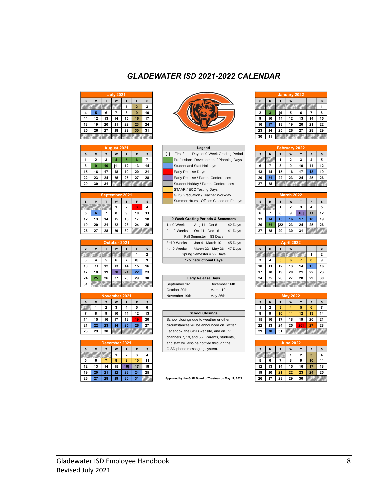| <b>July 2021</b> |    |             |    |    |                |    |  |  |  |
|------------------|----|-------------|----|----|----------------|----|--|--|--|
| S                | M  | W<br>F<br>т |    |    |                |    |  |  |  |
|                  |    |             |    | 1  | $\overline{2}$ | 3  |  |  |  |
| 4                | 5  | 6           | 7  | 8  | 9              | 10 |  |  |  |
| 11               | 12 | 13          | 14 | 15 | 16             | 17 |  |  |  |
| 18               | 19 | 20          | 21 | 22 | 23             | 24 |  |  |  |
| 25               | 26 | 27          | 28 | 29 | 30             | 31 |  |  |  |
|                  |    |             |    |    |                |    |  |  |  |

| August 2021 |                         |    |      |    |    |    |  |  |  |
|-------------|-------------------------|----|------|----|----|----|--|--|--|
| S           | M                       | т  | W    | т  | F  | S  |  |  |  |
|             | $\overline{\mathbf{2}}$ | 3  | 4    | 5  | 6  | 7  |  |  |  |
| 8           | 9                       | 10 | [11] | 12 | 13 | 14 |  |  |  |
| 15          | 16                      | 17 | 18   | 19 | 20 | 21 |  |  |  |
| 22          | 23                      | 24 | 25   | 26 | 27 | 28 |  |  |  |
| 29          | 30                      | 31 |      |    |    |    |  |  |  |

|    | September 2021 |    |    |                |    |    |  |  |
|----|----------------|----|----|----------------|----|----|--|--|
| s  | M              |    | W  |                | F  | s  |  |  |
|    |                |    | 1  | $\overline{2}$ | 3  | 4  |  |  |
| 5  | 6              |    | 8  | 9              | 10 | 11 |  |  |
| 12 | 13             | 14 | 15 | 16             | 17 | 18 |  |  |
| 19 | 20             | 21 | 22 | 23             | 24 | 25 |  |  |
| 26 | 27             | 28 | 29 | 30             |    |    |  |  |

|    | October 2021 |    |    |    |    |                |  |  |  |  |  |
|----|--------------|----|----|----|----|----------------|--|--|--|--|--|
| S  | M            | т  | W  | т  | F  | s              |  |  |  |  |  |
|    |              |    |    |    | 1  | $\overline{2}$ |  |  |  |  |  |
| 3  | 4            | 5  | 6  |    | 8] | 9              |  |  |  |  |  |
| 10 | [11]         | 12 | 13 | 14 | 15 | 16             |  |  |  |  |  |
| 17 | 18           | 19 | 20 | 21 | 22 | 23             |  |  |  |  |  |
| 24 | 25           | 26 | 27 | 28 | 29 | 30             |  |  |  |  |  |
| 31 |              |    |    |    |    |                |  |  |  |  |  |

|    | November 2021 |                |    |    |    |    |  |  |
|----|---------------|----------------|----|----|----|----|--|--|
| S  | M             | т              | W  | т  | F  | S  |  |  |
|    | 1             | $\overline{2}$ | 3  | 4  | 5  | 6  |  |  |
|    | 8             | 9              | 10 | 11 | 12 | 13 |  |  |
| 14 | 15            | 16             | 17 | 18 | 19 | 20 |  |  |
| 21 | 22            | 23             | 24 | 25 | 26 | 27 |  |  |
| 28 | 29            | 30             |    |    |    |    |  |  |

| December 2021 |    |    |             |    |    |    |  |  |  |
|---------------|----|----|-------------|----|----|----|--|--|--|
| s             | M  |    | W<br>F<br>т |    |    |    |  |  |  |
|               |    |    |             | 2  | 3  | 4  |  |  |  |
| 5             | 6  |    | 8           | 9  | 10 | 11 |  |  |  |
| 12            | 13 | 14 | 15          | 16 | 17 | 18 |  |  |  |
| 19            | 20 | 21 | 22          | 23 | 24 | 25 |  |  |  |
| 26            | 27 | 28 | 29          | 30 | 31 |    |  |  |  |



|                      |                     |                              | <b>July 2021</b>   |                                |                  |                              |                                                                                   |                                                                                                            |              | January 2022           |                |                          |                      |
|----------------------|---------------------|------------------------------|--------------------|--------------------------------|------------------|------------------------------|-----------------------------------------------------------------------------------|------------------------------------------------------------------------------------------------------------|--------------|------------------------|----------------|--------------------------|----------------------|
| s                    | M                   | $\mathsf{T}$                 | W                  | $\mathbf{T}$                   | F                | $\mathbf s$                  | $\mathbf s$                                                                       | M                                                                                                          | $\mathsf T$  | W                      | $\mathsf T$    | F                        | s                    |
|                      |                     |                              |                    | 1                              | $\overline{2}$   | 3                            |                                                                                   |                                                                                                            |              |                        |                |                          | $\mathbf{1}$         |
| 4                    | 5 <sub>5</sub>      | 6                            | $\overline{7}$     | 8                              | $\boldsymbol{9}$ | 10                           | $\mathbf{2}$                                                                      | $\mathbf 3$                                                                                                | [4           | 5                      | 6              | $\overline{\phantom{a}}$ | 8                    |
| 11<br>18             | 12<br>19            | 13<br>20                     | 14<br>21           | 15<br>22                       | 16<br>23         | 17<br>24                     | 9<br>16                                                                           | 10<br>17                                                                                                   | 11<br>18     | 12<br>19               | 13<br>20       | 14<br>21                 | 15<br>22             |
| 25                   | 26                  | 27                           | 28                 | 29                             | 30               | 31                           | 23                                                                                | 24                                                                                                         | 25           | 26                     | 27             | 28                       | 29                   |
|                      |                     |                              |                    |                                |                  |                              | 30                                                                                | 31                                                                                                         |              |                        |                |                          |                      |
|                      |                     |                              | August 2021        |                                |                  |                              | Legend                                                                            |                                                                                                            |              | <b>February 2022</b>   |                |                          |                      |
| $\mathbf{s}$         | $\mathsf{M}\xspace$ | $\mathsf T$                  | W                  | $\mathsf T$                    | F                | $\mathbf{s}$                 | First / Last Days of 9-Week Grading Period<br>H.<br>s                             | M                                                                                                          | $\mathsf T$  | W                      | $\mathsf{T}$   | F                        | s                    |
| 1                    | $\mathbf{2}$        | 3                            | 4                  | 5                              | 6                | $\overline{7}$               | Professional Development / Planning Days                                          |                                                                                                            | 1            | 2                      | 3              | 4                        | 5                    |
| 8<br>15              | 9<br>16             | 10<br>17                     | [11<br>18          | 12<br>19                       | 13<br>20         | 14<br>21                     | Student and Staff Holidays<br>6<br>Early Release Days<br>13                       | 7<br>14                                                                                                    | 8<br>15      | 9<br>16                | 10<br>17       | 11<br>18                 | 12<br>19             |
| 22                   | 23                  | 24                           | 25                 | 26                             | 27               | 28                           | Early Release / Parent Conferences<br>20                                          | 21                                                                                                         | 22           | 23                     | 24             | 25                       | 26                   |
| 29                   | 30                  | 31                           |                    |                                |                  |                              | 27<br>Student Holiday / Parent Conferences                                        | 28                                                                                                         |              |                        |                |                          |                      |
|                      |                     |                              |                    |                                |                  |                              | STAAR / EOC Testing Days                                                          |                                                                                                            |              |                        |                |                          |                      |
| $\mathsf{s}$         | M                   | $\mathbf{r}$                 | W                  | September 2021<br>$\mathbf{r}$ | F                | $\mathsf{s}$                 | GHS Graduation / Teacher Workday<br>Summer Hours - Offices Closed on Fridays<br>s | $\mathsf{M}% _{T}=\mathsf{M}_{T}\!\left( a,b\right) ,\ \mathsf{M}_{T}=\mathsf{M}_{T}\!\left( a,b\right) ,$ | $\mathbf{r}$ | <b>March 2022</b><br>W | T              | F                        | $\mathsf{s}$         |
|                      |                     |                              | $\mathbf{1}$       | $\overline{2}$                 | 3                | $\overline{\mathbf{4}}$      |                                                                                   |                                                                                                            | $\mathbf{1}$ | $\overline{2}$         | 3              | $\overline{\mathbf{4}}$  | 5                    |
| 5                    | 6                   | 7                            | 8                  | 9                              | 10               | 11                           | 6                                                                                 | 7                                                                                                          | 8            | 9                      | $10$ ]         | 11                       | 12                   |
| 12                   | 13                  | 14                           | 15                 | 16                             | 17               | 18                           | 9-Week Grading Periods & Semesters<br>13                                          | 14                                                                                                         | 15           | 16                     | 17             | 18                       | 19                   |
| 19                   | 20                  | 21                           | 22                 | 23                             | 24               | 25                           | 1st 9-Weeks<br>Aug 11 - Oct 8<br>42 Days<br>20                                    | 21                                                                                                         | [22          | 23                     | 24             | 25                       | 26                   |
| 26                   | 27                  | 28                           | 29                 | 30                             |                  |                              | 2nd 9-Weeks<br>Oct 11 - Dec 16<br>41 Days<br>27<br>Fall Semester = 83 Days        | 28                                                                                                         | 29           | 30                     | 31             |                          |                      |
|                      |                     |                              | October 2021       |                                |                  |                              | 3rd 9-Weeks<br>Jan 4 - March 10<br>45 Days                                        |                                                                                                            |              | <b>April 2022</b>      |                |                          |                      |
| $\mathbf{s}$         | M                   | $\mathsf T$                  | W                  | $\mathsf T$                    | $\mathsf F$<br>1 | $\mathbf{s}$<br>$\mathbf{2}$ | 4th 9-Weeks<br>March 22 - May 26<br>47 Days<br>s<br>Spring Semester = 92 Days     | $\boldsymbol{\mathsf{M}}$                                                                                  | $\mathsf T$  | W                      | $\mathsf T$    | F<br>1                   | s<br>2               |
| 3                    | 4                   | 5                            | 6                  | $\overline{7}$                 | 8]               | 9                            | <b>175 Instructional Days</b><br>3                                                | 4                                                                                                          | 5            | 6                      | $\overline{7}$ | 8                        | 9                    |
| 10                   | [11                 | 12                           | 13                 | 14                             | 15               | 16                           | 10                                                                                | 11                                                                                                         | 12           | 13                     | 14             | 15                       | 16                   |
| 17                   | 18                  | 19                           | 20                 | 21                             | 22               | 23                           | 17                                                                                | 18                                                                                                         | 19           | 20                     | 21             | 22                       | 23                   |
| 24                   | 25                  | 26                           | 27                 | 28                             | 29               | 30                           | <b>Early Release Days</b><br>24                                                   | 25                                                                                                         | 26           | 27                     | 28             | 29                       | 30                   |
| 31                   |                     |                              |                    |                                |                  |                              | September 3rd<br>December 16th<br>October 20th<br>March 10th                      |                                                                                                            |              |                        |                |                          |                      |
|                      |                     |                              | November 2021      |                                |                  |                              | November 19th<br>May 26th                                                         |                                                                                                            |              | <b>May 2022</b>        |                |                          |                      |
| s                    | M                   | $\mathsf T$                  | W                  | $\mathsf T$                    | F                | $\mathbf{s}$                 | s                                                                                 | M                                                                                                          | T            | W                      | $\mathsf T$    | F                        | s                    |
|                      | 1<br>8              | $\overline{\mathbf{2}}$<br>9 | 3<br>10            | 4<br>11                        | 5<br>12          | 6<br>13                      | 1<br><b>School Closings</b><br>8                                                  | $\overline{\mathbf{2}}$<br>9                                                                               | 3<br>10      | 4<br>11                | 5<br>12        | 6<br>13                  | $\overline{7}$<br>14 |
| $\overline{7}$<br>14 | 15                  | 16                           | 17                 | 18                             | 19               | 20                           | School closings due to weather or other<br>15                                     | 16                                                                                                         | 17           | 18                     | 19             | 20                       | 21                   |
| 21                   | 22                  | 23                           | 24                 | 25                             | 26               | 27                           | 22<br>circumstances will be announced on Twitter,                                 | 23                                                                                                         | 24           | 25                     | 261            | 27                       | 28                   |
| 28                   | 29                  | 30                           |                    |                                |                  |                              | Facebook, the GISD website, and on TV<br>29                                       | 30                                                                                                         | 31           |                        |                |                          |                      |
|                      |                     |                              |                    |                                |                  |                              | channels 7, 19, and 56. Parents, students,                                        |                                                                                                            |              |                        |                |                          |                      |
|                      | M                   | $\mathsf{T}$                 | December 2021<br>W | $\mathsf T$                    | F                | $\mathbf s$                  | and staff will also be notified through the<br>GISD phone messaging system.<br>s  | M                                                                                                          | T            | <b>June 2022</b><br>W  | т              | F                        | s                    |
|                      |                     |                              | 1                  | $\bf{2}$                       | 3                | 4                            |                                                                                   |                                                                                                            |              | 1                      | 2              | $\overline{\mathbf{3}}$  |                      |
| $\mathbf s$          |                     | 7                            | 8                  | 9                              | 10               | 11                           | 5                                                                                 | 6                                                                                                          | 7            | 8                      | 9              | 10                       | 11                   |
| 5                    | 6                   |                              | 15                 | 16                             | 17               | 18                           | 12                                                                                | 13                                                                                                         | 14           | 15                     | 16             | 17                       | 18                   |
| 12                   | 13                  | 14                           |                    |                                |                  |                              | 19                                                                                |                                                                                                            |              |                        |                |                          |                      |
| 19<br>26             | 20<br>27            | 21<br>28                     | 22<br>29           | 23<br>30                       | 24<br>31         | 25                           | 26<br>Approved by the GISD Board of Trustees on May 17, 2021                      | 20<br>27                                                                                                   | 21<br>28     | 22<br>29               | 23<br>30       | 24                       | 25                   |

|                                           | 9-Week Grading Periods & Semesters |         |  |  |  |  |  |  |  |  |
|-------------------------------------------|------------------------------------|---------|--|--|--|--|--|--|--|--|
| 1st 9-Weeks<br>Aug 11 - Oct 8<br>42 Days  |                                    |         |  |  |  |  |  |  |  |  |
| 2nd 9-Weeks<br>Oct 11 - Dec 16<br>41 Davs |                                    |         |  |  |  |  |  |  |  |  |
|                                           | Fall Semester = 83 Days            |         |  |  |  |  |  |  |  |  |
| 3rd 9-Weeks                               | Jan 4 - March 10                   | 45 Days |  |  |  |  |  |  |  |  |
| 4th 9-Weeks                               | March 22 - May 26                  | 47 Davs |  |  |  |  |  |  |  |  |
|                                           | Spring Semester = 92 Days          |         |  |  |  |  |  |  |  |  |
|                                           | 175 Instructional Days             |         |  |  |  |  |  |  |  |  |

| <b>Early Release Days</b> |               |  |  |  |
|---------------------------|---------------|--|--|--|
| September 3rd             | December 16th |  |  |  |
| October 20th              | March 10th    |  |  |  |
| November 19th             | May 26th      |  |  |  |

| <b>School Closings</b>                      |  |  |  |  |
|---------------------------------------------|--|--|--|--|
| School closings due to weather or other     |  |  |  |  |
| circumstances will be announced on Twitter. |  |  |  |  |
| Facebook, the GISD website, and on TV       |  |  |  |  |
| channels 7, 19, and 56. Parents, students,  |  |  |  |  |
| and staff will also be notified through the |  |  |  |  |
| GISD phone messaging system.                |  |  |  |  |

| January 2022 |    |    |    |    |    |    |
|--------------|----|----|----|----|----|----|
| s            | M  | т  | W  |    | F  | s  |
|              |    |    |    |    |    |    |
| $\mathbf 2$  | 3  | [4 | 5  | 6  |    | 8  |
| 9            | 10 | 11 | 12 | 13 | 14 | 15 |
| 16           | 17 | 18 | 19 | 20 | 21 | 22 |
| 23           | 24 | 25 | 26 | 27 | 28 | 29 |
| 30           | 31 |    |    |    |    |    |

| <b>February 2022</b> |    |    |                |    |    |    |
|----------------------|----|----|----------------|----|----|----|
| s                    | M  | Τ  | W              |    | F  | s  |
|                      |    | 1  | $\overline{2}$ | 3  | 4  | 5  |
| 6                    |    | 8  | 9              | 10 | 11 | 12 |
| 13                   | 14 | 15 | 16             | 17 | 18 | 19 |
| 20                   | 21 | 22 | 23             | 24 | 25 | 26 |
| 27                   | 28 |    |                |    |    |    |

| <b>March 2022</b> |    |        |                |     |    |    |
|-------------------|----|--------|----------------|-----|----|----|
| S                 | M  | т      | W              | т   | F  | s  |
|                   |    | 1      | $\overline{2}$ | 3   | 4  | 5  |
| 6                 | 7  | 8      | 9              | 10] | 11 | 12 |
| 13                | 14 | 15     | 16             | 17  | 18 | 19 |
| 20                | 21 | $[22]$ | 23             | 24  | 25 | 26 |
| 27                | 28 | 29     | 30             | 31  |    |    |

| <b>April 2022</b> |    |    |    |    |    |                         |
|-------------------|----|----|----|----|----|-------------------------|
| S                 | M  |    | W  |    | F  | s                       |
|                   |    |    |    |    | 1  | $\overline{\mathbf{2}}$ |
| 3                 | 4  | 5  | 6  |    | 8  | 9                       |
| 10                | 11 | 12 | 13 | 14 | 15 | 16                      |
| 17                | 18 | 19 | 20 | 21 | 22 | 23                      |
| 24                | 25 | 26 | 27 | 28 | 29 | 30                      |
|                   |    |    |    |    |    |                         |

| <b>May 2022</b> |                |    |    |     |    |    |
|-----------------|----------------|----|----|-----|----|----|
| s               | M              | т  | W  | т   | F  | S  |
| 1               | $\overline{2}$ | 3  | 4  | 5   | 6  |    |
| 8               | 9              | 10 | 11 | 12  | 13 | 14 |
| 15              | 16             | 17 | 18 | 19  | 20 | 21 |
| 22              | 23             | 24 | 25 | 261 | 27 | 28 |
| 29              | 30             | 31 |    |     |    |    |

|    | <b>June 2022</b> |    |    |    |    |    |
|----|------------------|----|----|----|----|----|
| s  | M                | т  | W  | T  | F  | s  |
|    |                  |    | 1  | 2  | 3  | 4  |
| 5  | 6                |    | 8  | 9  | 10 | 11 |
| 12 | 13               | 14 | 15 | 16 | 17 | 18 |
| 19 | 20               | 21 | 22 | 23 | 24 | 25 |
| 26 | 27               | 28 | 29 | 30 |    |    |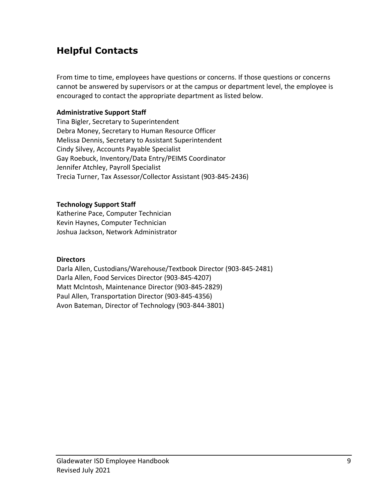### **Helpful Contacts**

From time to time, employees have questions or concerns. If those questions or concerns cannot be answered by supervisors or at the campus or department level, the employee is encouraged to contact the appropriate department as listed below.

#### **Administrative Support Staff**

Tina Bigler, Secretary to Superintendent Debra Money, Secretary to Human Resource Officer Melissa Dennis, Secretary to Assistant Superintendent Cindy Silvey, Accounts Payable Specialist Gay Roebuck, Inventory/Data Entry/PEIMS Coordinator Jennifer Atchley, Payroll Specialist Trecia Turner, Tax Assessor/Collector Assistant (903-845-2436)

#### **Technology Support Staff**

Katherine Pace, Computer Technician Kevin Haynes, Computer Technician Joshua Jackson, Network Administrator

#### **Directors**

Darla Allen, Custodians/Warehouse/Textbook Director (903-845-2481) Darla Allen, Food Services Director (903-845-4207) Matt McIntosh, Maintenance Director (903-845-2829) Paul Allen, Transportation Director (903-845-4356) Avon Bateman, Director of Technology (903-844-3801)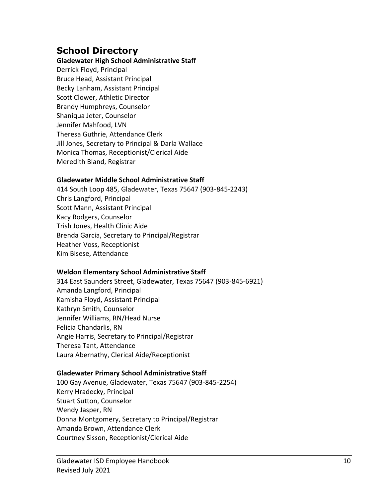### **School Directory**

#### **Gladewater High School Administrative Staff**

Derrick Floyd, Principal Bruce Head, Assistant Principal Becky Lanham, Assistant Principal Scott Clower, Athletic Director Brandy Humphreys, Counselor Shaniqua Jeter, Counselor Jennifer Mahfood, LVN Theresa Guthrie, Attendance Clerk Jill Jones, Secretary to Principal & Darla Wallace Monica Thomas, Receptionist/Clerical Aide Meredith Bland, Registrar

#### **Gladewater Middle School Administrative Staff**

414 South Loop 485, Gladewater, Texas 75647 (903-845-2243) Chris Langford, Principal Scott Mann, Assistant Principal Kacy Rodgers, Counselor Trish Jones, Health Clinic Aide Brenda Garcia, Secretary to Principal/Registrar Heather Voss, Receptionist Kim Bisese, Attendance

#### **Weldon Elementary School Administrative Staff**

314 East Saunders Street, Gladewater, Texas 75647 (903-845-6921) Amanda Langford, Principal Kamisha Floyd, Assistant Principal Kathryn Smith, Counselor Jennifer Williams, RN/Head Nurse Felicia Chandarlis, RN Angie Harris, Secretary to Principal/Registrar Theresa Tant, Attendance Laura Abernathy, Clerical Aide/Receptionist

#### **Gladewater Primary School Administrative Staff**

100 Gay Avenue, Gladewater, Texas 75647 (903-845-2254) Kerry Hradecky, Principal Stuart Sutton, Counselor Wendy Jasper, RN Donna Montgomery, Secretary to Principal/Registrar Amanda Brown, Attendance Clerk Courtney Sisson, Receptionist/Clerical Aide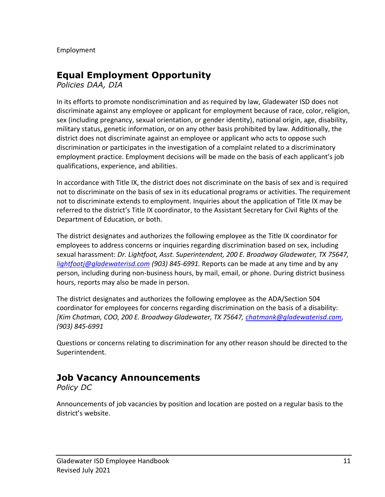Employment

### **Equal Employment Opportunity**

*Policies DAA, DIA*

In its efforts to promote nondiscrimination and as required by law, Gladewater ISD does not discriminate against any employee or applicant for employment because of race, color, religion, sex (including pregnancy, sexual orientation, or gender identity), national origin, age, disability, military status, genetic information, or on any other basis prohibited by law. Additionally, the district does not discriminate against an employee or applicant who acts to oppose such discrimination or participates in the investigation of a complaint related to a discriminatory employment practice. Employment decisions will be made on the basis of each applicant's job qualifications, experience, and abilities.

In accordance with Title IX, the district does not discriminate on the basis of sex and is required not to discriminate on the basis of sex in its educational programs or activities. The requirement not to discriminate extends to employment. Inquiries about the application of Title IX may be referred to the district's Title IX coordinator, to the Assistant Secretary for Civil Rights of the Department of Education, or both.

The district designates and authorizes the following employee as the Title IX coordinator for employees to address concerns or inquiries regarding discrimination based on sex, including sexual harassment: *Dr. Lightfoot, Asst. Superintendent, 200 E. Broadway Gladewater, TX 75647, [lightfootj@gladewaterisd.com](mailto:lightfootj@gladewaterisd.com) (903) 845-6991.* Reports can be made at any time and by any person, including during non-business hours, by mail, email, or phone. During district business hours, reports may also be made in person.

The district designates and authorizes the following employee as the ADA/Section 504 coordinator for employees for concerns regarding discrimination on the basis of a disability: *[Kim Chatman, COO, 200 E. Broadway Gladewater, TX 75647, [chatmank@gladewaterisd.com,](mailto:chatmank@gladewaterisd.com) (903) 845-6991*

Questions or concerns relating to discrimination for any other reason should be directed to the Superintendent.

### **Job Vacancy Announcements**

*Policy DC*

Announcements of job vacancies by position and location are posted on a regular basis to the district's website.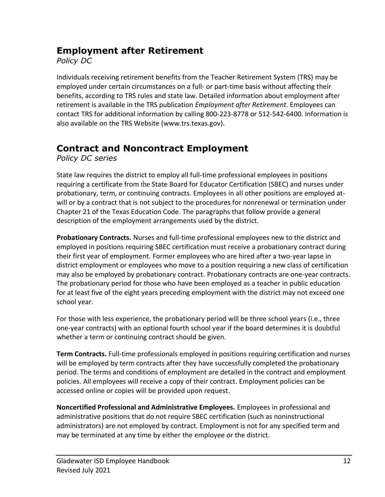### **Employment after Retirement**

*Policy DC*

Individuals receiving retirement benefits from the Teacher Retirement System (TRS) may be employed under certain circumstances on a full- or part-time basis without affecting their benefits, according to TRS rules and state law. Detailed information about employment after retirement is available in the TRS publication *Employment after Retirement*. Employees can contact TRS for additional information by calling 800-223-8778 or 512-542-6400. Information is also available on the TRS Website (www.trs.texas.gov).

### **Contract and Noncontract Employment**

*Policy DC series*

State law requires the district to employ all full-time professional employees in positions requiring a certificate from the State Board for Educator Certification (SBEC) and nurses under probationary, term, or continuing contracts. Employees in all other positions are employed atwill or by a contract that is not subject to the procedures for nonrenewal or termination under Chapter 21 of the Texas Education Code. The paragraphs that follow provide a general description of the employment arrangements used by the district.

**Probationary Contracts.** Nurses and full-time professional employees new to the district and employed in positions requiring SBEC certification must receive a probationary contract during their first year of employment. Former employees who are hired after a two-year lapse in district employment or employees who move to a position requiring a new class of certification may also be employed by probationary contract. Probationary contracts are one-year contracts. The probationary period for those who have been employed as a teacher in public education for at least five of the eight years preceding employment with the district may not exceed one school year.

For those with less experience, the probationary period will be three school years (i.e., three one-year contracts) with an optional fourth school year if the board determines it is doubtful whether a term or continuing contract should be given.

**Term Contracts.** Full-time professionals employed in positions requiring certification and nurses will be employed by term contracts after they have successfully completed the probationary period. The terms and conditions of employment are detailed in the contract and employment policies. All employees will receive a copy of their contract. Employment policies can be accessed online or copies will be provided upon request.

**Noncertified Professional and Administrative Employees.** Employees in professional and administrative positions that do not require SBEC certification (such as noninstructional administrators) are not employed by contract. Employment is not for any specified term and may be terminated at any time by either the employee or the district.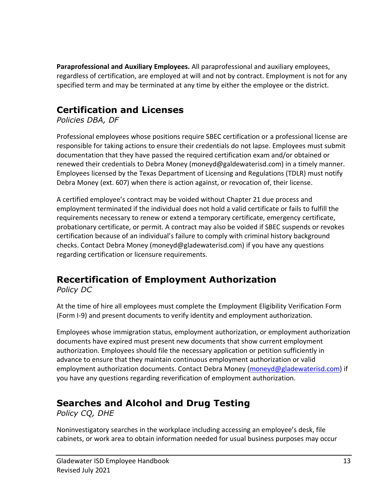**Paraprofessional and Auxiliary Employees.** All paraprofessional and auxiliary employees, regardless of certification, are employed at will and not by contract. Employment is not for any specified term and may be terminated at any time by either the employee or the district.

### **Certification and Licenses**

*Policies DBA, DF*

Professional employees whose positions require SBEC certification or a professional license are responsible for taking actions to ensure their credentials do not lapse. Employees must submit documentation that they have passed the required certification exam and/or obtained or renewed their credentials to Debra Money (moneyd@galdewaterisd.com) in a timely manner. Employees licensed by the Texas Department of Licensing and Regulations (TDLR) must notify Debra Money (ext. 607) when there is action against, or revocation of, their license.

A certified employee's contract may be voided without Chapter 21 due process and employment terminated if the individual does not hold a valid certificate or fails to fulfill the requirements necessary to renew or extend a temporary certificate, emergency certificate, probationary certificate, or permit. A contract may also be voided if SBEC suspends or revokes certification because of an individual's failure to comply with criminal history background checks. Contact Debra Money (moneyd@gladewaterisd.com) if you have any questions regarding certification or licensure requirements.

## **Recertification of Employment Authorization**

*Policy DC*

At the time of hire all employees must complete the Employment Eligibility Verification Form (Form I-9) and present documents to verify identity and employment authorization.

Employees whose immigration status, employment authorization, or employment authorization documents have expired must present new documents that show current employment authorization. Employees should file the necessary application or petition sufficiently in advance to ensure that they maintain continuous employment authorization or valid employment authorization documents. Contact Debra Money [\(moneyd@gladewaterisd.com\)](mailto:moneyd@gladewaterisd.com) if you have any questions regarding reverification of employment authorization.

### **Searches and Alcohol and Drug Testing**

*Policy CQ, DHE*

Noninvestigatory searches in the workplace including accessing an employee's desk, file cabinets, or work area to obtain information needed for usual business purposes may occur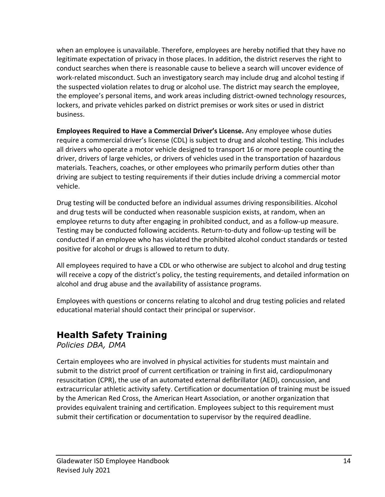when an employee is unavailable. Therefore, employees are hereby notified that they have no legitimate expectation of privacy in those places. In addition, the district reserves the right to conduct searches when there is reasonable cause to believe a search will uncover evidence of work-related misconduct. Such an investigatory search may include drug and alcohol testing if the suspected violation relates to drug or alcohol use. The district may search the employee, the employee's personal items, and work areas including district-owned technology resources, lockers, and private vehicles parked on district premises or work sites or used in district business.

**Employees Required to Have a Commercial Driver's License.** Any employee whose duties require a commercial driver's license (CDL) is subject to drug and alcohol testing. This includes all drivers who operate a motor vehicle designed to transport 16 or more people counting the driver, drivers of large vehicles, or drivers of vehicles used in the transportation of hazardous materials. Teachers, coaches, or other employees who primarily perform duties other than driving are subject to testing requirements if their duties include driving a commercial motor vehicle.

Drug testing will be conducted before an individual assumes driving responsibilities. Alcohol and drug tests will be conducted when reasonable suspicion exists, at random, when an employee returns to duty after engaging in prohibited conduct, and as a follow-up measure. Testing may be conducted following accidents. Return-to-duty and follow-up testing will be conducted if an employee who has violated the prohibited alcohol conduct standards or tested positive for alcohol or drugs is allowed to return to duty.

All employees required to have a CDL or who otherwise are subject to alcohol and drug testing will receive a copy of the district's policy, the testing requirements, and detailed information on alcohol and drug abuse and the availability of assistance programs.

Employees with questions or concerns relating to alcohol and drug testing policies and related educational material should contact their principal or supervisor.

### **Health Safety Training**

*Policies DBA, DMA*

Certain employees who are involved in physical activities for students must maintain and submit to the district proof of current certification or training in first aid, cardiopulmonary resuscitation (CPR), the use of an automated external defibrillator (AED), concussion, and extracurricular athletic activity safety. Certification or documentation of training must be issued by the American Red Cross, the American Heart Association, or another organization that provides equivalent training and certification. Employees subject to this requirement must submit their certification or documentation to supervisor by the required deadline.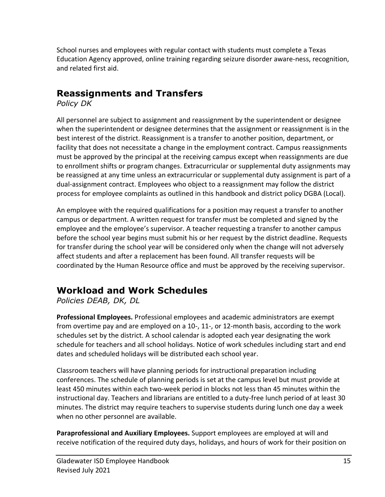School nurses and employees with regular contact with students must complete a Texas Education Agency approved, online training regarding seizure disorder aware-ness, recognition, and related first aid.

### **Reassignments and Transfers**

*Policy DK*

All personnel are subject to assignment and reassignment by the superintendent or designee when the superintendent or designee determines that the assignment or reassignment is in the best interest of the district. Reassignment is a transfer to another position, department, or facility that does not necessitate a change in the employment contract. Campus reassignments must be approved by the principal at the receiving campus except when reassignments are due to enrollment shifts or program changes. Extracurricular or supplemental duty assignments may be reassigned at any time unless an extracurricular or supplemental duty assignment is part of a dual-assignment contract. Employees who object to a reassignment may follow the district process for employee complaints as outlined in this handbook and district policy DGBA (Local).

An employee with the required qualifications for a position may request a transfer to another campus or department. A written request for transfer must be completed and signed by the employee and the employee's supervisor. A teacher requesting a transfer to another campus before the school year begins must submit his or her request by the district deadline. Requests for transfer during the school year will be considered only when the change will not adversely affect students and after a replacement has been found. All transfer requests will be coordinated by the Human Resource office and must be approved by the receiving supervisor.

### **Workload and Work Schedules**

*Policies DEAB, DK, DL*

**Professional Employees.** Professional employees and academic administrators are exempt from overtime pay and are employed on a 10-, 11-, or 12-month basis, according to the work schedules set by the district. A school calendar is adopted each year designating the work schedule for teachers and all school holidays. Notice of work schedules including start and end dates and scheduled holidays will be distributed each school year.

Classroom teachers will have planning periods for instructional preparation including conferences. The schedule of planning periods is set at the campus level but must provide at least 450 minutes within each two-week period in blocks not less than 45 minutes within the instructional day. Teachers and librarians are entitled to a duty-free lunch period of at least 30 minutes. The district may require teachers to supervise students during lunch one day a week when no other personnel are available.

**Paraprofessional and Auxiliary Employees.** Support employees are employed at will and receive notification of the required duty days, holidays, and hours of work for their position on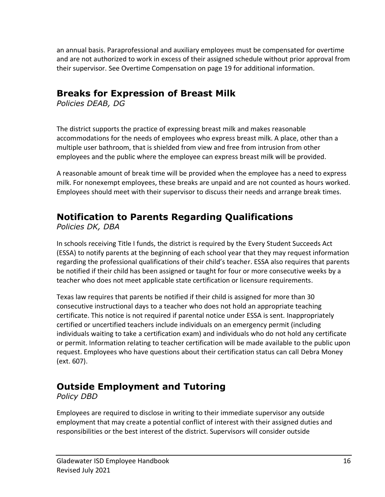an annual basis. Paraprofessional and auxiliary employees must be compensated for overtime and are not authorized to work in excess of their assigned schedule without prior approval from their supervisor. See Overtime Compensation on page 19 for additional information.

### **Breaks for Expression of Breast Milk**

*Policies DEAB, DG*

The district supports the practice of expressing breast milk and makes reasonable accommodations for the needs of employees who express breast milk. A place, other than a multiple user bathroom, that is shielded from view and free from intrusion from other employees and the public where the employee can express breast milk will be provided.

A reasonable amount of break time will be provided when the employee has a need to express milk. For nonexempt employees, these breaks are unpaid and are not counted as hours worked. Employees should meet with their supervisor to discuss their needs and arrange break times.

### **Notification to Parents Regarding Qualifications**

*Policies DK, DBA*

In schools receiving Title I funds, the district is required by the Every Student Succeeds Act (ESSA) to notify parents at the beginning of each school year that they may request information regarding the professional qualifications of their child's teacher. ESSA also requires that parents be notified if their child has been assigned or taught for four or more consecutive weeks by a teacher who does not meet applicable state certification or licensure requirements.

Texas law requires that parents be notified if their child is assigned for more than 30 consecutive instructional days to a teacher who does not hold an appropriate teaching certificate. This notice is not required if parental notice under ESSA is sent. Inappropriately certified or uncertified teachers include individuals on an emergency permit (including individuals waiting to take a certification exam) and individuals who do not hold any certificate or permit. Information relating to teacher certification will be made available to the public upon request. Employees who have questions about their certification status can call Debra Money (ext. 607).

### **Outside Employment and Tutoring**

*Policy DBD*

Employees are required to disclose in writing to their immediate supervisor any outside employment that may create a potential conflict of interest with their assigned duties and responsibilities or the best interest of the district. Supervisors will consider outside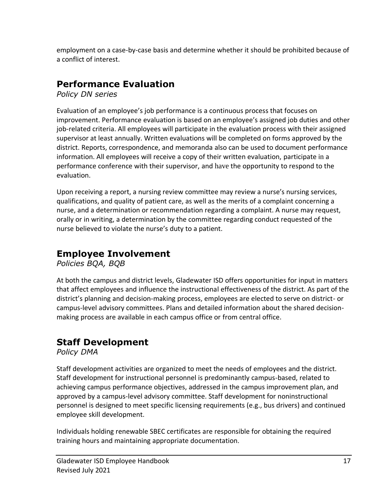employment on a case-by-case basis and determine whether it should be prohibited because of a conflict of interest.

### **Performance Evaluation**

*Policy DN series*

Evaluation of an employee's job performance is a continuous process that focuses on improvement. Performance evaluation is based on an employee's assigned job duties and other job-related criteria. All employees will participate in the evaluation process with their assigned supervisor at least annually. Written evaluations will be completed on forms approved by the district. Reports, correspondence, and memoranda also can be used to document performance information. All employees will receive a copy of their written evaluation, participate in a performance conference with their supervisor, and have the opportunity to respond to the evaluation.

Upon receiving a report, a nursing review committee may review a nurse's nursing services, qualifications, and quality of patient care, as well as the merits of a complaint concerning a nurse, and a determination or recommendation regarding a complaint. A nurse may request, orally or in writing, a determination by the committee regarding conduct requested of the nurse believed to violate the nurse's duty to a patient.

### **Employee Involvement**

*Policies BQA, BQB*

At both the campus and district levels, Gladewater ISD offers opportunities for input in matters that affect employees and influence the instructional effectiveness of the district. As part of the district's planning and decision-making process, employees are elected to serve on district- or campus-level advisory committees. Plans and detailed information about the shared decisionmaking process are available in each campus office or from central office.

### **Staff Development**

*Policy DMA*

Staff development activities are organized to meet the needs of employees and the district. Staff development for instructional personnel is predominantly campus-based, related to achieving campus performance objectives, addressed in the campus improvement plan, and approved by a campus-level advisory committee. Staff development for noninstructional personnel is designed to meet specific licensing requirements (e.g., bus drivers) and continued employee skill development.

Individuals holding renewable SBEC certificates are responsible for obtaining the required training hours and maintaining appropriate documentation.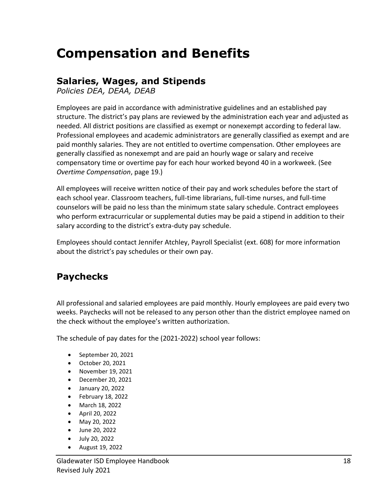## **Compensation and Benefits**

### **Salaries, Wages, and Stipends**

*Policies DEA, DEAA, DEAB*

Employees are paid in accordance with administrative guidelines and an established pay structure. The district's pay plans are reviewed by the administration each year and adjusted as needed. All district positions are classified as exempt or nonexempt according to federal law. Professional employees and academic administrators are generally classified as exempt and are paid monthly salaries. They are not entitled to overtime compensation. Other employees are generally classified as nonexempt and are paid an hourly wage or salary and receive compensatory time or overtime pay for each hour worked beyond 40 in a workweek. (See *Overtime Compensation*, page 19.)

All employees will receive written notice of their pay and work schedules before the start of each school year. Classroom teachers, full-time librarians, full-time nurses, and full-time counselors will be paid no less than the minimum state salary schedule. Contract employees who perform extracurricular or supplemental duties may be paid a stipend in addition to their salary according to the district's extra-duty pay schedule.

Employees should contact Jennifer Atchley, Payroll Specialist (ext. 608) for more information about the district's pay schedules or their own pay.

### **Paychecks**

All professional and salaried employees are paid monthly. Hourly employees are paid every two weeks. Paychecks will not be released to any person other than the district employee named on the check without the employee's written authorization.

The schedule of pay dates for the (2021-2022) school year follows:

- September 20, 2021
- October 20, 2021
- November 19, 2021
- December 20, 2021
- January 20, 2022
- February 18, 2022
- March 18, 2022
- April 20, 2022
- May 20, 2022
- June 20, 2022
- July 20, 2022
- August 19, 2022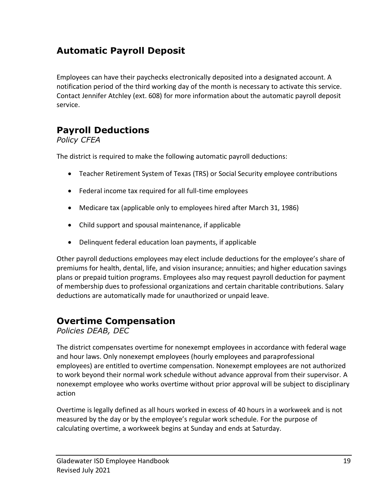### **Automatic Payroll Deposit**

Employees can have their paychecks electronically deposited into a designated account. A notification period of the third working day of the month is necessary to activate this service. Contact Jennifer Atchley (ext. 608) for more information about the automatic payroll deposit service.

### **Payroll Deductions**

*Policy CFEA*

The district is required to make the following automatic payroll deductions:

- Teacher Retirement System of Texas (TRS) or Social Security employee contributions
- Federal income tax required for all full-time employees
- Medicare tax (applicable only to employees hired after March 31, 1986)
- Child support and spousal maintenance, if applicable
- Delinquent federal education loan payments, if applicable

Other payroll deductions employees may elect include deductions for the employee's share of premiums for health, dental, life, and vision insurance; annuities; and higher education savings plans or prepaid tuition programs. Employees also may request payroll deduction for payment of membership dues to professional organizations and certain charitable contributions. Salary deductions are automatically made for unauthorized or unpaid leave.

### **Overtime Compensation**

*Policies DEAB, DEC*

The district compensates overtime for nonexempt employees in accordance with federal wage and hour laws. Only nonexempt employees (hourly employees and paraprofessional employees) are entitled to overtime compensation. Nonexempt employees are not authorized to work beyond their normal work schedule without advance approval from their supervisor. A nonexempt employee who works overtime without prior approval will be subject to disciplinary action

Overtime is legally defined as all hours worked in excess of 40 hours in a workweek and is not measured by the day or by the employee's regular work schedule. For the purpose of calculating overtime, a workweek begins at Sunday and ends at Saturday.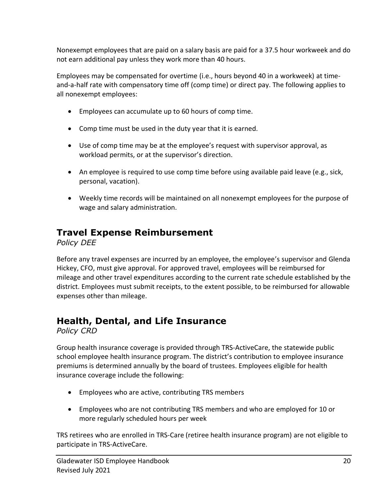Nonexempt employees that are paid on a salary basis are paid for a 37.5 hour workweek and do not earn additional pay unless they work more than 40 hours.

Employees may be compensated for overtime (i.e., hours beyond 40 in a workweek) at timeand-a-half rate with compensatory time off (comp time) or direct pay. The following applies to all nonexempt employees:

- Employees can accumulate up to 60 hours of comp time.
- Comp time must be used in the duty year that it is earned.
- Use of comp time may be at the employee's request with supervisor approval, as workload permits, or at the supervisor's direction.
- An employee is required to use comp time before using available paid leave (e.g., sick, personal, vacation).
- Weekly time records will be maintained on all nonexempt employees for the purpose of wage and salary administration.

### **Travel Expense Reimbursement**

*Policy DEE*

Before any travel expenses are incurred by an employee, the employee's supervisor and Glenda Hickey, CFO, must give approval. For approved travel, employees will be reimbursed for mileage and other travel expenditures according to the current rate schedule established by the district. Employees must submit receipts, to the extent possible, to be reimbursed for allowable expenses other than mileage.

### **Health, Dental, and Life Insurance**

*Policy CRD*

Group health insurance coverage is provided through TRS-ActiveCare, the statewide public school employee health insurance program. The district's contribution to employee insurance premiums is determined annually by the board of trustees. Employees eligible for health insurance coverage include the following:

- Employees who are active, contributing TRS members
- Employees who are not contributing TRS members and who are employed for 10 or more regularly scheduled hours per week

TRS retirees who are enrolled in TRS-Care (retiree health insurance program) are not eligible to participate in TRS-ActiveCare.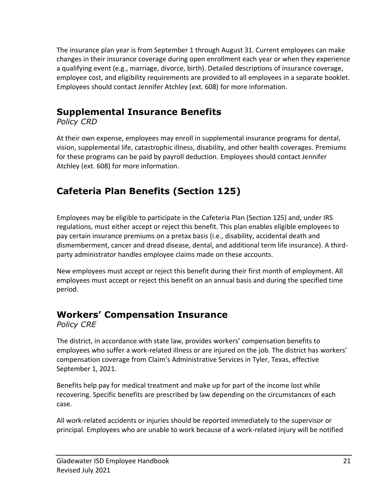The insurance plan year is from September 1 through August 31. Current employees can make changes in their insurance coverage during open enrollment each year or when they experience a qualifying event (e.g., marriage, divorce, birth). Detailed descriptions of insurance coverage, employee cost, and eligibility requirements are provided to all employees in a separate booklet. Employees should contact Jennifer Atchley (ext. 608) for more information.

### **Supplemental Insurance Benefits**

*Policy CRD*

At their own expense, employees may enroll in supplemental insurance programs for dental, vision, supplemental life, catastrophic illness, disability, and other health coverages. Premiums for these programs can be paid by payroll deduction. Employees should contact Jennifer Atchley (ext. 608) for more information.

### **Cafeteria Plan Benefits (Section 125)**

Employees may be eligible to participate in the Cafeteria Plan (Section 125) and, under IRS regulations, must either accept or reject this benefit. This plan enables eligible employees to pay certain insurance premiums on a pretax basis (i.e., disability, accidental death and dismemberment, cancer and dread disease, dental, and additional term life insurance). A thirdparty administrator handles employee claims made on these accounts.

New employees must accept or reject this benefit during their first month of employment. All employees must accept or reject this benefit on an annual basis and during the specified time period.

### **Workers' Compensation Insurance**

*Policy CRE*

The district, in accordance with state law, provides workers' compensation benefits to employees who suffer a work-related illness or are injured on the job. The district has workers' compensation coverage from Claim's Administrative Services in Tyler, Texas, effective September 1, 2021.

Benefits help pay for medical treatment and make up for part of the income lost while recovering. Specific benefits are prescribed by law depending on the circumstances of each case.

All work-related accidents or injuries should be reported immediately to the supervisor or principal. Employees who are unable to work because of a work-related injury will be notified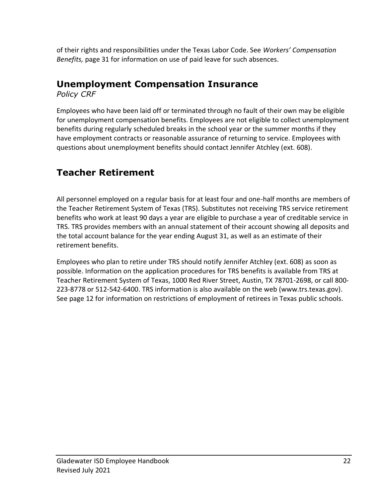of their rights and responsibilities under the Texas Labor Code. See *Workers' Compensation Benefits,* page 31 for information on use of paid leave for such absences.

### **Unemployment Compensation Insurance**

*Policy CRF*

Employees who have been laid off or terminated through no fault of their own may be eligible for unemployment compensation benefits. Employees are not eligible to collect unemployment benefits during regularly scheduled breaks in the school year or the summer months if they have employment contracts or reasonable assurance of returning to service. Employees with questions about unemployment benefits should contact Jennifer Atchley (ext. 608).

### **Teacher Retirement**

All personnel employed on a regular basis for at least four and one-half months are members of the Teacher Retirement System of Texas (TRS). Substitutes not receiving TRS service retirement benefits who work at least 90 days a year are eligible to purchase a year of creditable service in TRS. TRS provides members with an annual statement of their account showing all deposits and the total account balance for the year ending August 31, as well as an estimate of their retirement benefits.

Employees who plan to retire under TRS should notify Jennifer Atchley (ext. 608) as soon as possible. Information on the application procedures for TRS benefits is available from TRS at Teacher Retirement System of Texas, 1000 Red River Street, Austin, TX 78701-2698, or call 800- 223-8778 or 512-542-6400. TRS information is also available on the web (www.trs.texas.gov). See page 12 for information on restrictions of employment of retirees in Texas public schools.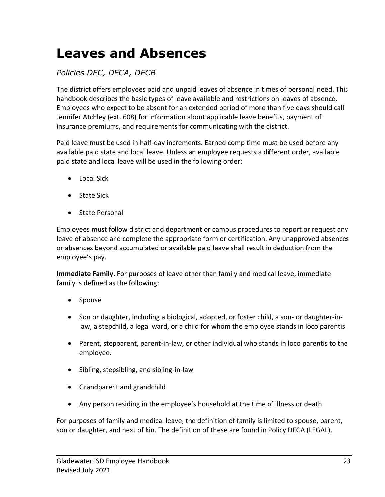## **Leaves and Absences**

### *Policies DEC, DECA, DECB*

The district offers employees paid and unpaid leaves of absence in times of personal need. This handbook describes the basic types of leave available and restrictions on leaves of absence. Employees who expect to be absent for an extended period of more than five days should call Jennifer Atchley (ext. 608) for information about applicable leave benefits, payment of insurance premiums, and requirements for communicating with the district.

Paid leave must be used in half-day increments. Earned comp time must be used before any available paid state and local leave. Unless an employee requests a different order, available paid state and local leave will be used in the following order:

- Local Sick
- State Sick
- State Personal

Employees must follow district and department or campus procedures to report or request any leave of absence and complete the appropriate form or certification. Any unapproved absences or absences beyond accumulated or available paid leave shall result in deduction from the employee's pay.

**Immediate Family.** For purposes of leave other than family and medical leave, immediate family is defined as the following:

- Spouse
- Son or daughter, including a biological, adopted, or foster child, a son- or daughter-inlaw, a stepchild, a legal ward, or a child for whom the employee stands in loco parentis.
- Parent, stepparent, parent-in-law, or other individual who stands in loco parentis to the employee.
- Sibling, stepsibling, and sibling-in-law
- Grandparent and grandchild
- Any person residing in the employee's household at the time of illness or death

For purposes of family and medical leave, the definition of family is limited to spouse, parent, son or daughter, and next of kin. The definition of these are found in Policy DECA (LEGAL).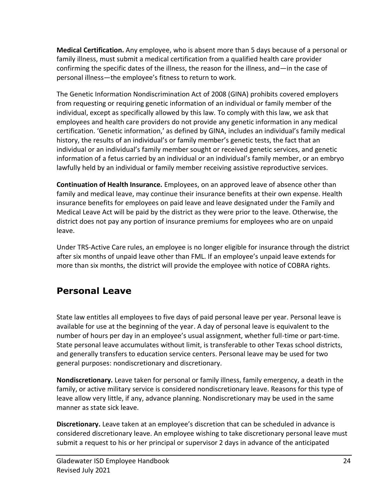**Medical Certification.** Any employee, who is absent more than 5 days because of a personal or family illness, must submit a medical certification from a qualified health care provider confirming the specific dates of the illness, the reason for the illness, and—in the case of personal illness—the employee's fitness to return to work.

The Genetic Information Nondiscrimination Act of 2008 (GINA) prohibits covered employers from requesting or requiring genetic information of an individual or family member of the individual, except as specifically allowed by this law. To comply with this law, we ask that employees and health care providers do not provide any genetic information in any medical certification. 'Genetic information,' as defined by GINA, includes an individual's family medical history, the results of an individual's or family member's genetic tests, the fact that an individual or an individual's family member sought or received genetic services, and genetic information of a fetus carried by an individual or an individual's family member, or an embryo lawfully held by an individual or family member receiving assistive reproductive services.

**Continuation of Health Insurance.** Employees, on an approved leave of absence other than family and medical leave, may continue their insurance benefits at their own expense. Health insurance benefits for employees on paid leave and leave designated under the Family and Medical Leave Act will be paid by the district as they were prior to the leave. Otherwise, the district does not pay any portion of insurance premiums for employees who are on unpaid leave.

Under TRS-Active Care rules, an employee is no longer eligible for insurance through the district after six months of unpaid leave other than FML. If an employee's unpaid leave extends for more than six months, the district will provide the employee with notice of COBRA rights.

### **Personal Leave**

State law entitles all employees to five days of paid personal leave per year. Personal leave is available for use at the beginning of the year. A day of personal leave is equivalent to the number of hours per day in an employee's usual assignment, whether full-time or part-time. State personal leave accumulates without limit, is transferable to other Texas school districts, and generally transfers to education service centers. Personal leave may be used for two general purposes: nondiscretionary and discretionary.

**Nondiscretionary.** Leave taken for personal or family illness, family emergency, a death in the family, or active military service is considered nondiscretionary leave. Reasons for this type of leave allow very little, if any, advance planning. Nondiscretionary may be used in the same manner as state sick leave.

**Discretionary.** Leave taken at an employee's discretion that can be scheduled in advance is considered discretionary leave. An employee wishing to take discretionary personal leave must submit a request to his or her principal or supervisor 2 days in advance of the anticipated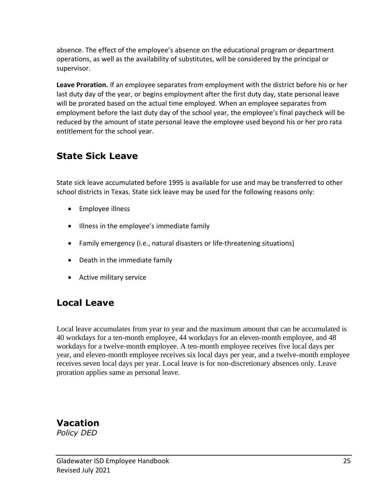absence. The effect of the employee's absence on the educational program or department operations, as well as the availability of substitutes, will be considered by the principal or supervisor.

**Leave Proration.** If an employee separates from employment with the district before his or her last duty day of the year, or begins employment after the first duty day, state personal leave will be prorated based on the actual time employed. When an employee separates from employment before the last duty day of the school year, the employee's final paycheck will be reduced by the amount of state personal leave the employee used beyond his or her pro rata entitlement for the school year.

### **State Sick Leave**

State sick leave accumulated before 1995 is available for use and may be transferred to other school districts in Texas. State sick leave may be used for the following reasons only:

- Employee illness
- Illness in the employee's immediate family
- Family emergency (i.e., natural disasters or life-threatening situations)
- Death in the immediate family
- Active military service

### **Local Leave**

Local leave accumulates from year to year and the maximum amount that can be accumulated is 40 workdays for a ten-month employee, 44 workdays for an eleven-month employee, and 48 workdays for a twelve-month employee. A ten-month employee receives five local days per year, and eleven-month employee receives six local days per year, and a twelve-month employee receives seven local days per year. Local leave is for non-discretionary absences only. Leave proration applies same as personal leave.

**Vacation** *Policy DED*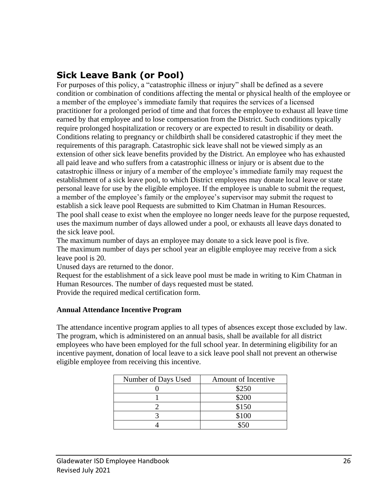### **Sick Leave Bank (or Pool)**

For purposes of this policy, a "catastrophic illness or injury" shall be defined as a severe condition or combination of conditions affecting the mental or physical health of the employee or a member of the employee's immediate family that requires the services of a licensed practitioner for a prolonged period of time and that forces the employee to exhaust all leave time earned by that employee and to lose compensation from the District. Such conditions typically require prolonged hospitalization or recovery or are expected to result in disability or death. Conditions relating to pregnancy or childbirth shall be considered catastrophic if they meet the requirements of this paragraph. Catastrophic sick leave shall not be viewed simply as an extension of other sick leave benefits provided by the District. An employee who has exhausted all paid leave and who suffers from a catastrophic illness or injury or is absent due to the catastrophic illness or injury of a member of the employee's immediate family may request the establishment of a sick leave pool, to which District employees may donate local leave or state personal leave for use by the eligible employee. If the employee is unable to submit the request, a member of the employee's family or the employee's supervisor may submit the request to establish a sick leave pool Requests are submitted to Kim Chatman in Human Resources. The pool shall cease to exist when the employee no longer needs leave for the purpose requested, uses the maximum number of days allowed under a pool, or exhausts all leave days donated to the sick leave pool.

The maximum number of days an employee may donate to a sick leave pool is five. The maximum number of days per school year an eligible employee may receive from a sick leave pool is 20.

Unused days are returned to the donor.

Request for the establishment of a sick leave pool must be made in writing to Kim Chatman in Human Resources. The number of days requested must be stated. Provide the required medical certification form.

#### **Annual Attendance Incentive Program**

The attendance incentive program applies to all types of absences except those excluded by law. The program, which is administered on an annual basis, shall be available for all district employees who have been employed for the full school year. In determining eligibility for an incentive payment, donation of local leave to a sick leave pool shall not prevent an otherwise eligible employee from receiving this incentive.

| Number of Days Used | Amount of Incentive |
|---------------------|---------------------|
|                     | \$250               |
|                     | \$200               |
|                     | \$150               |
|                     | \$100               |
|                     |                     |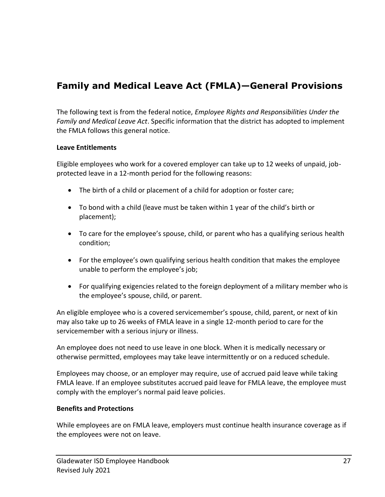### **Family and Medical Leave Act (FMLA)—General Provisions**

The following text is from the federal notice, *Employee Rights and Responsibilities Under the Family and Medical Leave Act*. Specific information that the district has adopted to implement the FMLA follows this general notice.

#### **Leave Entitlements**

Eligible employees who work for a covered employer can take up to 12 weeks of unpaid, jobprotected leave in a 12-month period for the following reasons:

- The birth of a child or placement of a child for adoption or foster care;
- To bond with a child (leave must be taken within 1 year of the child's birth or placement);
- To care for the employee's spouse, child, or parent who has a qualifying serious health condition;
- For the employee's own qualifying serious health condition that makes the employee unable to perform the employee's job;
- For qualifying exigencies related to the foreign deployment of a military member who is the employee's spouse, child, or parent.

An eligible employee who is a covered servicemember's spouse, child, parent, or next of kin may also take up to 26 weeks of FMLA leave in a single 12-month period to care for the servicemember with a serious injury or illness.

An employee does not need to use leave in one block. When it is medically necessary or otherwise permitted, employees may take leave intermittently or on a reduced schedule.

Employees may choose, or an employer may require, use of accrued paid leave while taking FMLA leave. If an employee substitutes accrued paid leave for FMLA leave, the employee must comply with the employer's normal paid leave policies.

#### **Benefits and Protections**

While employees are on FMLA leave, employers must continue health insurance coverage as if the employees were not on leave.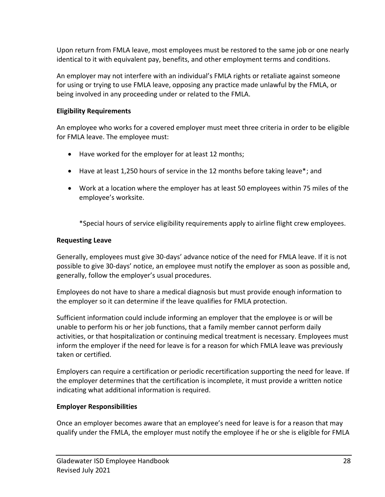Upon return from FMLA leave, most employees must be restored to the same job or one nearly identical to it with equivalent pay, benefits, and other employment terms and conditions.

An employer may not interfere with an individual's FMLA rights or retaliate against someone for using or trying to use FMLA leave, opposing any practice made unlawful by the FMLA, or being involved in any proceeding under or related to the FMLA.

#### **Eligibility Requirements**

An employee who works for a covered employer must meet three criteria in order to be eligible for FMLA leave. The employee must:

- Have worked for the employer for at least 12 months;
- Have at least 1,250 hours of service in the 12 months before taking leave\*; and
- Work at a location where the employer has at least 50 employees within 75 miles of the employee's worksite.

\*Special hours of service eligibility requirements apply to airline flight crew employees.

#### **Requesting Leave**

Generally, employees must give 30-days' advance notice of the need for FMLA leave. If it is not possible to give 30-days' notice, an employee must notify the employer as soon as possible and, generally, follow the employer's usual procedures.

Employees do not have to share a medical diagnosis but must provide enough information to the employer so it can determine if the leave qualifies for FMLA protection.

Sufficient information could include informing an employer that the employee is or will be unable to perform his or her job functions, that a family member cannot perform daily activities, or that hospitalization or continuing medical treatment is necessary. Employees must inform the employer if the need for leave is for a reason for which FMLA leave was previously taken or certified.

Employers can require a certification or periodic recertification supporting the need for leave. If the employer determines that the certification is incomplete, it must provide a written notice indicating what additional information is required.

#### **Employer Responsibilities**

Once an employer becomes aware that an employee's need for leave is for a reason that may qualify under the FMLA, the employer must notify the employee if he or she is eligible for FMLA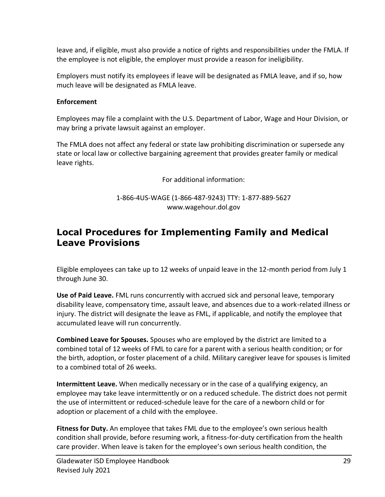leave and, if eligible, must also provide a notice of rights and responsibilities under the FMLA. If the employee is not eligible, the employer must provide a reason for ineligibility.

Employers must notify its employees if leave will be designated as FMLA leave, and if so, how much leave will be designated as FMLA leave.

#### **Enforcement**

Employees may file a complaint with the U.S. Department of Labor, Wage and Hour Division, or may bring a private lawsuit against an employer.

The FMLA does not affect any federal or state law prohibiting discrimination or supersede any state or local law or collective bargaining agreement that provides greater family or medical leave rights.

For additional information:

1-866-4US-WAGE (1-866-487-9243) TTY: 1-877-889-5627 [www.wagehour.dol.gov](http://www.wagehour.dol.gov/)

### **Local Procedures for Implementing Family and Medical Leave Provisions**

Eligible employees can take up to 12 weeks of unpaid leave in the 12-month period from July 1 through June 30.

**Use of Paid Leave.** FML runs concurrently with accrued sick and personal leave, temporary disability leave, compensatory time, assault leave, and absences due to a work-related illness or injury. The district will designate the leave as FML, if applicable, and notify the employee that accumulated leave will run concurrently.

**Combined Leave for Spouses.** Spouses who are employed by the district are limited to a combined total of 12 weeks of FML to care for a parent with a serious health condition; or for the birth, adoption, or foster placement of a child. Military caregiver leave for spouses is limited to a combined total of 26 weeks.

**Intermittent Leave.** When medically necessary or in the case of a qualifying exigency, an employee may take leave intermittently or on a reduced schedule. The district does not permit the use of intermittent or reduced-schedule leave for the care of a newborn child or for adoption or placement of a child with the employee.

**Fitness for Duty.** An employee that takes FML due to the employee's own serious health condition shall provide, before resuming work, a fitness-for-duty certification from the health care provider. When leave is taken for the employee's own serious health condition, the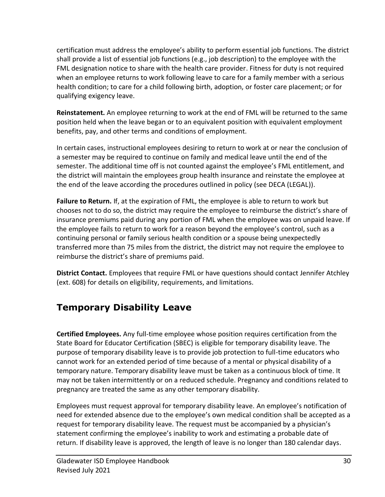certification must address the employee's ability to perform essential job functions. The district shall provide a list of essential job functions (e.g., job description) to the employee with the FML designation notice to share with the health care provider. Fitness for duty is not required when an employee returns to work following leave to care for a family member with a serious health condition; to care for a child following birth, adoption, or foster care placement; or for qualifying exigency leave.

**Reinstatement.** An employee returning to work at the end of FML will be returned to the same position held when the leave began or to an equivalent position with equivalent employment benefits, pay, and other terms and conditions of employment.

In certain cases, instructional employees desiring to return to work at or near the conclusion of a semester may be required to continue on family and medical leave until the end of the semester. The additional time off is not counted against the employee's FML entitlement, and the district will maintain the employees group health insurance and reinstate the employee at the end of the leave according the procedures outlined in policy (see DECA (LEGAL)).

**Failure to Return.** If, at the expiration of FML, the employee is able to return to work but chooses not to do so, the district may require the employee to reimburse the district's share of insurance premiums paid during any portion of FML when the employee was on unpaid leave. If the employee fails to return to work for a reason beyond the employee's control, such as a continuing personal or family serious health condition or a spouse being unexpectedly transferred more than 75 miles from the district, the district may not require the employee to reimburse the district's share of premiums paid.

**District Contact.** Employees that require FML or have questions should contact Jennifer Atchley (ext. 608) for details on eligibility, requirements, and limitations.

### **Temporary Disability Leave**

**Certified Employees.** Any full-time employee whose position requires certification from the State Board for Educator Certification (SBEC) is eligible for temporary disability leave. The purpose of temporary disability leave is to provide job protection to full-time educators who cannot work for an extended period of time because of a mental or physical disability of a temporary nature. Temporary disability leave must be taken as a continuous block of time. It may not be taken intermittently or on a reduced schedule. Pregnancy and conditions related to pregnancy are treated the same as any other temporary disability.

Employees must request approval for temporary disability leave. An employee's notification of need for extended absence due to the employee's own medical condition shall be accepted as a request for temporary disability leave. The request must be accompanied by a physician's statement confirming the employee's inability to work and estimating a probable date of return. If disability leave is approved, the length of leave is no longer than 180 calendar days.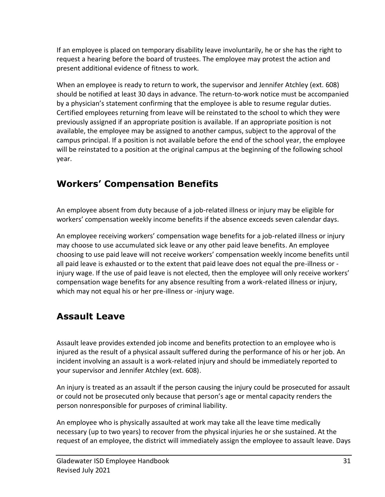If an employee is placed on temporary disability leave involuntarily, he or she has the right to request a hearing before the board of trustees. The employee may protest the action and present additional evidence of fitness to work.

When an employee is ready to return to work, the supervisor and Jennifer Atchley (ext. 608) should be notified at least 30 days in advance. The return-to-work notice must be accompanied by a physician's statement confirming that the employee is able to resume regular duties. Certified employees returning from leave will be reinstated to the school to which they were previously assigned if an appropriate position is available. If an appropriate position is not available, the employee may be assigned to another campus, subject to the approval of the campus principal. If a position is not available before the end of the school year, the employee will be reinstated to a position at the original campus at the beginning of the following school year.

### **Workers' Compensation Benefits**

An employee absent from duty because of a job-related illness or injury may be eligible for workers' compensation weekly income benefits if the absence exceeds seven calendar days.

An employee receiving workers' compensation wage benefits for a job-related illness or injury may choose to use accumulated sick leave or any other paid leave benefits. An employee choosing to use paid leave will not receive workers' compensation weekly income benefits until all paid leave is exhausted or to the extent that paid leave does not equal the pre-illness or injury wage. If the use of paid leave is not elected, then the employee will only receive workers' compensation wage benefits for any absence resulting from a work-related illness or injury, which may not equal his or her pre-illness or -injury wage.

### **Assault Leave**

Assault leave provides extended job income and benefits protection to an employee who is injured as the result of a physical assault suffered during the performance of his or her job. An incident involving an assault is a work-related injury and should be immediately reported to your supervisor and Jennifer Atchley (ext. 608).

An injury is treated as an assault if the person causing the injury could be prosecuted for assault or could not be prosecuted only because that person's age or mental capacity renders the person nonresponsible for purposes of criminal liability.

An employee who is physically assaulted at work may take all the leave time medically necessary (up to two years) to recover from the physical injuries he or she sustained. At the request of an employee, the district will immediately assign the employee to assault leave. Days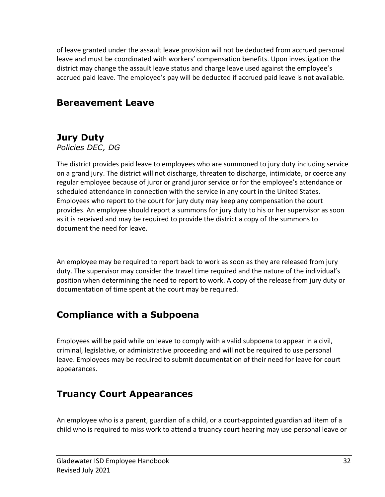of leave granted under the assault leave provision will not be deducted from accrued personal leave and must be coordinated with workers' compensation benefits. Upon investigation the district may change the assault leave status and charge leave used against the employee's accrued paid leave. The employee's pay will be deducted if accrued paid leave is not available.

### **Bereavement Leave**

### **Jury Duty**

*Policies DEC, DG*

The district provides paid leave to employees who are summoned to jury duty including service on a grand jury. The district will not discharge, threaten to discharge, intimidate, or coerce any regular employee because of juror or grand juror service or for the employee's attendance or scheduled attendance in connection with the service in any court in the United States. Employees who report to the court for jury duty may keep any compensation the court provides. An employee should report a summons for jury duty to his or her supervisor as soon as it is received and may be required to provide the district a copy of the summons to document the need for leave.

An employee may be required to report back to work as soon as they are released from jury duty. The supervisor may consider the travel time required and the nature of the individual's position when determining the need to report to work. A copy of the release from jury duty or documentation of time spent at the court may be required.

### **Compliance with a Subpoena**

Employees will be paid while on leave to comply with a valid subpoena to appear in a civil, criminal, legislative, or administrative proceeding and will not be required to use personal leave. Employees may be required to submit documentation of their need for leave for court appearances.

### **Truancy Court Appearances**

An employee who is a parent, guardian of a child, or a court-appointed guardian ad litem of a child who is required to miss work to attend a truancy court hearing may use personal leave or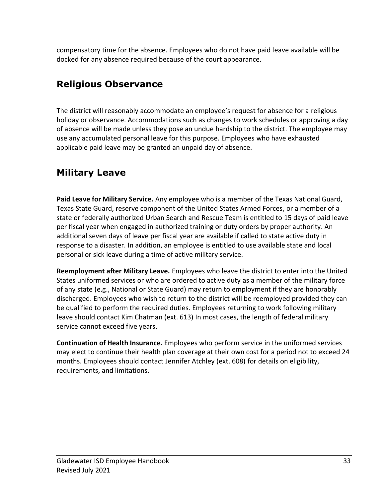compensatory time for the absence. Employees who do not have paid leave available will be docked for any absence required because of the court appearance.

### **Religious Observance**

The district will reasonably accommodate an employee's request for absence for a religious holiday or observance. Accommodations such as changes to work schedules or approving a day of absence will be made unless they pose an undue hardship to the district. The employee may use any accumulated personal leave for this purpose. Employees who have exhausted applicable paid leave may be granted an unpaid day of absence.

### **Military Leave**

**Paid Leave for Military Service.** Any employee who is a member of the Texas National Guard, Texas State Guard, reserve component of the United States Armed Forces, or a member of a state or federally authorized Urban Search and Rescue Team is entitled to 15 days of paid leave per fiscal year when engaged in authorized training or duty orders by proper authority. An additional seven days of leave per fiscal year are available if called to state active duty in response to a disaster. In addition, an employee is entitled to use available state and local personal or sick leave during a time of active military service.

**Reemployment after Military Leave.** Employees who leave the district to enter into the United States uniformed services or who are ordered to active duty as a member of the military force of any state (e.g., National or State Guard) may return to employment if they are honorably discharged. Employees who wish to return to the district will be reemployed provided they can be qualified to perform the required duties. Employees returning to work following military leave should contact Kim Chatman (ext. 613) In most cases, the length of federal military service cannot exceed five years.

**Continuation of Health Insurance.** Employees who perform service in the uniformed services may elect to continue their health plan coverage at their own cost for a period not to exceed 24 months. Employees should contact Jennifer Atchley (ext. 608) for details on eligibility, requirements, and limitations.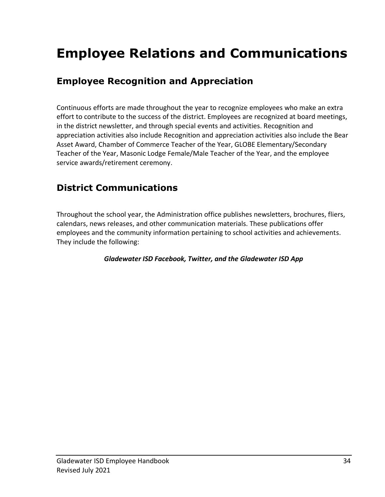## **Employee Relations and Communications**

### **Employee Recognition and Appreciation**

Continuous efforts are made throughout the year to recognize employees who make an extra effort to contribute to the success of the district. Employees are recognized at board meetings, in the district newsletter, and through special events and activities. Recognition and appreciation activities also include Recognition and appreciation activities also include the Bear Asset Award, Chamber of Commerce Teacher of the Year, GLOBE Elementary/Secondary Teacher of the Year, Masonic Lodge Female/Male Teacher of the Year, and the employee service awards/retirement ceremony.

### **District Communications**

Throughout the school year, the Administration office publishes newsletters, brochures, fliers, calendars, news releases, and other communication materials. These publications offer employees and the community information pertaining to school activities and achievements. They include the following:

#### *Gladewater ISD Facebook, Twitter, and the Gladewater ISD App*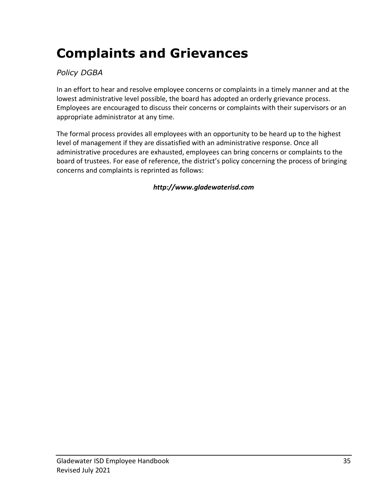## **Complaints and Grievances**

### *Policy DGBA*

In an effort to hear and resolve employee concerns or complaints in a timely manner and at the lowest administrative level possible, the board has adopted an orderly grievance process. Employees are encouraged to discuss their concerns or complaints with their supervisors or an appropriate administrator at any time.

The formal process provides all employees with an opportunity to be heard up to the highest level of management if they are dissatisfied with an administrative response. Once all administrative procedures are exhausted, employees can bring concerns or complaints to the board of trustees. For ease of reference, the district's policy concerning the process of bringing concerns and complaints is reprinted as follows:

*http://www.gladewaterisd.com*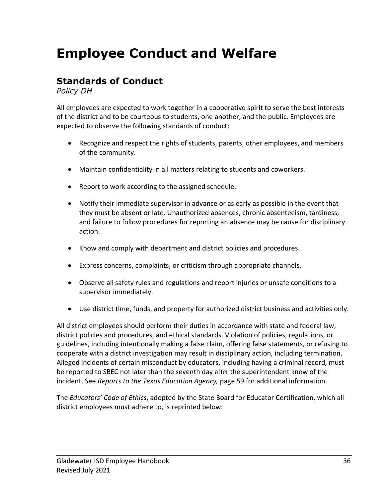## **Employee Conduct and Welfare**

### **Standards of Conduct**

*Policy DH*

All employees are expected to work together in a cooperative spirit to serve the best interests of the district and to be courteous to students, one another, and the public. Employees are expected to observe the following standards of conduct:

- Recognize and respect the rights of students, parents, other employees, and members of the community.
- Maintain confidentiality in all matters relating to students and coworkers.
- Report to work according to the assigned schedule.
- Notify their immediate supervisor in advance or as early as possible in the event that they must be absent or late. Unauthorized absences, chronic absenteeism, tardiness, and failure to follow procedures for reporting an absence may be cause for disciplinary action.
- Know and comply with department and district policies and procedures.
- Express concerns, complaints, or criticism through appropriate channels.
- Observe all safety rules and regulations and report injuries or unsafe conditions to a supervisor immediately.
- Use district time, funds, and property for authorized district business and activities only.

All district employees should perform their duties in accordance with state and federal law, district policies and procedures, and ethical standards. Violation of policies, regulations, or guidelines, including intentionally making a false claim, offering false statements, or refusing to cooperate with a district investigation may result in disciplinary action, including termination. Alleged incidents of certain misconduct by educators, including having a criminal record, must be reported to SBEC not later than the seventh day after the superintendent knew of the incident. See *Reports to the Texas Education Agency,* page 59 for additional information.

The *Educators' Code of Ethics*, adopted by the State Board for Educator Certification, which all district employees must adhere to, is reprinted below: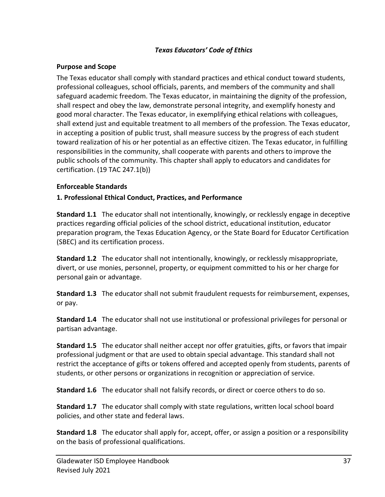#### *Texas Educators' Code of Ethics*

#### **Purpose and Scope**

The Texas educator shall comply with standard practices and ethical conduct toward students, professional colleagues, school officials, parents, and members of the community and shall safeguard academic freedom. The Texas educator, in maintaining the dignity of the profession, shall respect and obey the law, demonstrate personal integrity, and exemplify honesty and good moral character. The Texas educator, in exemplifying ethical relations with colleagues, shall extend just and equitable treatment to all members of the profession. The Texas educator, in accepting a position of public trust, shall measure success by the progress of each student toward realization of his or her potential as an effective citizen. The Texas educator, in fulfilling responsibilities in the community, shall cooperate with parents and others to improve the public schools of the community. This chapter shall apply to educators and candidates for certification. (19 TAC 247.1(b))

#### **Enforceable Standards**

#### **1. Professional Ethical Conduct, Practices, and Performance**

**Standard 1.1** The educator shall not intentionally, knowingly, or recklessly engage in deceptive practices regarding official policies of the school district, educational institution, educator preparation program, the Texas Education Agency, or the State Board for Educator Certification (SBEC) and its certification process.

**Standard 1.2** The educator shall not intentionally, knowingly, or recklessly misappropriate, divert, or use monies, personnel, property, or equipment committed to his or her charge for personal gain or advantage.

**Standard 1.3** The educator shall not submit fraudulent requests for reimbursement, expenses, or pay.

**Standard 1.4** The educator shall not use institutional or professional privileges for personal or partisan advantage.

**Standard 1.5** The educator shall neither accept nor offer gratuities, gifts, or favors that impair professional judgment or that are used to obtain special advantage. This standard shall not restrict the acceptance of gifts or tokens offered and accepted openly from students, parents of students, or other persons or organizations in recognition or appreciation of service.

**Standard 1.6** The educator shall not falsify records, or direct or coerce others to do so.

**Standard 1.7** The educator shall comply with state regulations, written local school board policies, and other state and federal laws.

**Standard 1.8** The educator shall apply for, accept, offer, or assign a position or a responsibility on the basis of professional qualifications.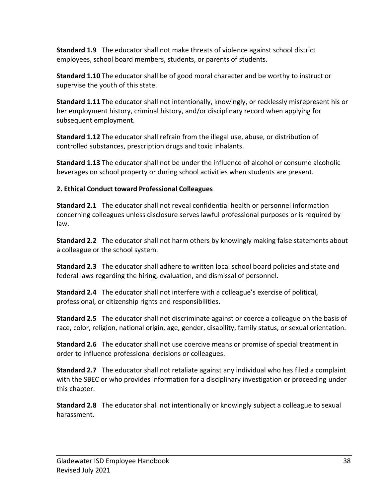**Standard 1.9** The educator shall not make threats of violence against school district employees, school board members, students, or parents of students.

**Standard 1.10** The educator shall be of good moral character and be worthy to instruct or supervise the youth of this state.

**Standard 1.11** The educator shall not intentionally, knowingly, or recklessly misrepresent his or her employment history, criminal history, and/or disciplinary record when applying for subsequent employment.

**Standard 1.12** The educator shall refrain from the illegal use, abuse, or distribution of controlled substances, prescription drugs and toxic inhalants.

**Standard 1.13** The educator shall not be under the influence of alcohol or consume alcoholic beverages on school property or during school activities when students are present.

#### **2. Ethical Conduct toward Professional Colleagues**

**Standard 2.1** The educator shall not reveal confidential health or personnel information concerning colleagues unless disclosure serves lawful professional purposes or is required by law.

**Standard 2.2** The educator shall not harm others by knowingly making false statements about a colleague or the school system.

**Standard 2.3** The educator shall adhere to written local school board policies and state and federal laws regarding the hiring, evaluation, and dismissal of personnel.

**Standard 2.4** The educator shall not interfere with a colleague's exercise of political, professional, or citizenship rights and responsibilities.

**Standard 2.5** The educator shall not discriminate against or coerce a colleague on the basis of race, color, religion, national origin, age, gender, disability, family status, or sexual orientation.

**Standard 2.6** The educator shall not use coercive means or promise of special treatment in order to influence professional decisions or colleagues.

**Standard 2.7** The educator shall not retaliate against any individual who has filed a complaint with the SBEC or who provides information for a disciplinary investigation or proceeding under this chapter.

**Standard 2.8** The educator shall not intentionally or knowingly subject a colleague to sexual harassment.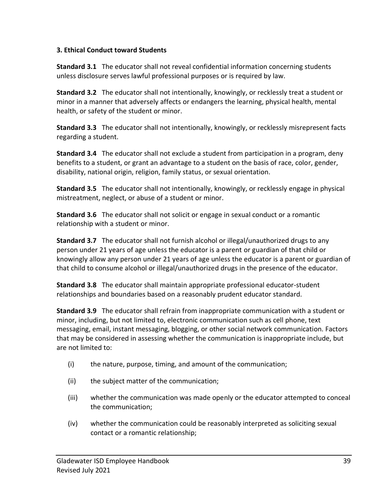#### **3. Ethical Conduct toward Students**

**Standard 3.1** The educator shall not reveal confidential information concerning students unless disclosure serves lawful professional purposes or is required by law.

**Standard 3.2** The educator shall not intentionally, knowingly, or recklessly treat a student or minor in a manner that adversely affects or endangers the learning, physical health, mental health, or safety of the student or minor.

**Standard 3.3** The educator shall not intentionally, knowingly, or recklessly misrepresent facts regarding a student.

**Standard 3.4** The educator shall not exclude a student from participation in a program, deny benefits to a student, or grant an advantage to a student on the basis of race, color, gender, disability, national origin, religion, family status, or sexual orientation.

**Standard 3.5** The educator shall not intentionally, knowingly, or recklessly engage in physical mistreatment, neglect, or abuse of a student or minor.

**Standard 3.6** The educator shall not solicit or engage in sexual conduct or a romantic relationship with a student or minor.

**Standard 3.7** The educator shall not furnish alcohol or illegal/unauthorized drugs to any person under 21 years of age unless the educator is a parent or guardian of that child or knowingly allow any person under 21 years of age unless the educator is a parent or guardian of that child to consume alcohol or illegal/unauthorized drugs in the presence of the educator.

**Standard 3.8** The educator shall maintain appropriate professional educator-student relationships and boundaries based on a reasonably prudent educator standard.

**Standard 3.9** The educator shall refrain from inappropriate communication with a student or minor, including, but not limited to, electronic communication such as cell phone, text messaging, email, instant messaging, blogging, or other social network communication. Factors that may be considered in assessing whether the communication is inappropriate include, but are not limited to:

- (i) the nature, purpose, timing, and amount of the communication;
- (ii) the subject matter of the communication;
- (iii) whether the communication was made openly or the educator attempted to conceal the communication;
- (iv) whether the communication could be reasonably interpreted as soliciting sexual contact or a romantic relationship;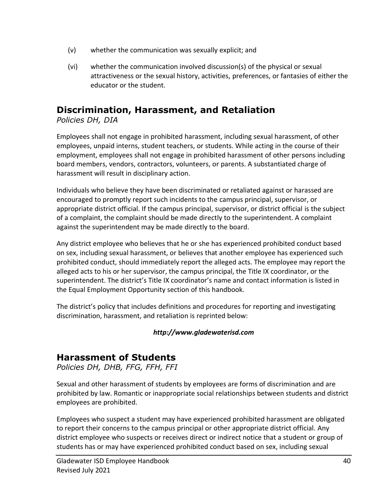- (v) whether the communication was sexually explicit; and
- (vi) whether the communication involved discussion(s) of the physical or sexual attractiveness or the sexual history, activities, preferences, or fantasies of either the educator or the student.

### **Discrimination, Harassment, and Retaliation**

*Policies DH, DIA*

Employees shall not engage in prohibited harassment, including sexual harassment, of other employees, unpaid interns, student teachers, or students. While acting in the course of their employment, employees shall not engage in prohibited harassment of other persons including board members, vendors, contractors, volunteers, or parents. A substantiated charge of harassment will result in disciplinary action.

Individuals who believe they have been discriminated or retaliated against or harassed are encouraged to promptly report such incidents to the campus principal, supervisor, or appropriate district official. If the campus principal, supervisor, or district official is the subject of a complaint, the complaint should be made directly to the superintendent. A complaint against the superintendent may be made directly to the board.

Any district employee who believes that he or she has experienced prohibited conduct based on sex, including sexual harassment, or believes that another employee has experienced such prohibited conduct, should immediately report the alleged acts. The employee may report the alleged acts to his or her supervisor, the campus principal, the Title IX coordinator, or the superintendent. The district's Title IX coordinator's name and contact information is listed in the Equal Employment Opportunity section of this handbook.

The district's policy that includes definitions and procedures for reporting and investigating discrimination, harassment, and retaliation is reprinted below:

#### *http://www.gladewaterisd.com*

### **Harassment of Students**

*Policies DH, DHB, FFG, FFH, FFI*

Sexual and other harassment of students by employees are forms of discrimination and are prohibited by law. Romantic or inappropriate social relationships between students and district employees are prohibited.

Employees who suspect a student may have experienced prohibited harassment are obligated to report their concerns to the campus principal or other appropriate district official. Any district employee who suspects or receives direct or indirect notice that a student or group of students has or may have experienced prohibited conduct based on sex, including sexual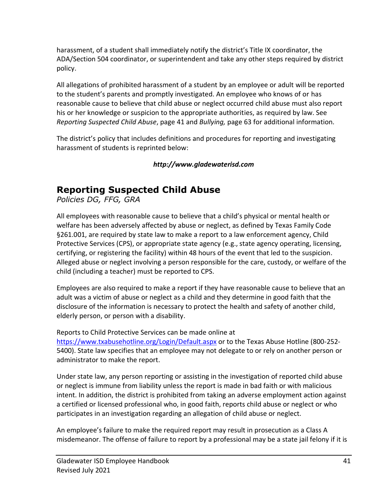harassment, of a student shall immediately notify the district's Title IX coordinator, the ADA/Section 504 coordinator, or superintendent and take any other steps required by district policy.

All allegations of prohibited harassment of a student by an employee or adult will be reported to the student's parents and promptly investigated. An employee who knows of or has reasonable cause to believe that child abuse or neglect occurred child abuse must also report his or her knowledge or suspicion to the appropriate authorities, as required by law. See *Reporting Suspected Child Abuse*, page 41 and *Bullying,* page 63 for additional information.

The district's policy that includes definitions and procedures for reporting and investigating harassment of students is reprinted below:

*http://www.gladewaterisd.com*

### **Reporting Suspected Child Abuse**

*Policies DG, FFG, GRA*

All employees with reasonable cause to believe that a child's physical or mental health or welfare has been adversely affected by abuse or neglect, as defined by Texas Family Code §261.001, are required by state law to make a report to a law enforcement agency, Child Protective Services (CPS), or appropriate state agency (e.g., state agency operating, licensing, certifying, or registering the facility) within 48 hours of the event that led to the suspicion. Alleged abuse or neglect involving a person responsible for the care, custody, or welfare of the child (including a teacher) must be reported to CPS.

Employees are also required to make a report if they have reasonable cause to believe that an adult was a victim of abuse or neglect as a child and they determine in good faith that the disclosure of the information is necessary to protect the health and safety of another child, elderly person, or person with a disability.

Reports to Child Protective Services can be made online at

<https://www.txabusehotline.org/Login/Default.aspx> or to the Texas Abuse Hotline (800-252-5400). State law specifies that an employee may not delegate to or rely on another person or administrator to make the report.

Under state law, any person reporting or assisting in the investigation of reported child abuse or neglect is immune from liability unless the report is made in bad faith or with malicious intent. In addition, the district is prohibited from taking an adverse employment action against a certified or licensed professional who, in good faith, reports child abuse or neglect or who participates in an investigation regarding an allegation of child abuse or neglect.

An employee's failure to make the required report may result in prosecution as a Class A misdemeanor. The offense of failure to report by a professional may be a state jail felony if it is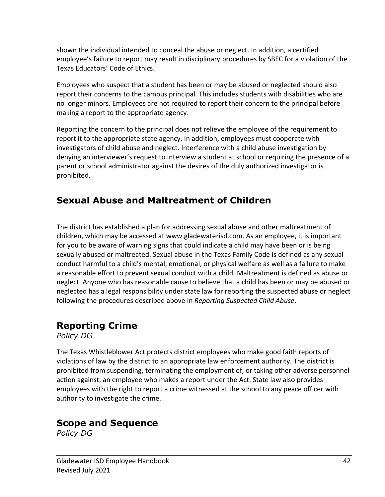shown the individual intended to conceal the abuse or neglect. In addition, a certified employee's failure to report may result in disciplinary procedures by SBEC for a violation of the Texas Educators' Code of Ethics.

Employees who suspect that a student has been or may be abused or neglected should also report their concerns to the campus principal. This includes students with disabilities who are no longer minors. Employees are not required to report their concern to the principal before making a report to the appropriate agency.

Reporting the concern to the principal does not relieve the employee of the requirement to report it to the appropriate state agency. In addition, employees must cooperate with investigators of child abuse and neglect. Interference with a child abuse investigation by denying an interviewer's request to interview a student at school or requiring the presence of a parent or school administrator against the desires of the duly authorized investigator is prohibited.

### **Sexual Abuse and Maltreatment of Children**

The district has established a plan for addressing sexual abuse and other maltreatment of children, which may be accessed at www.gladewaterisd.com. As an employee, it is important for you to be aware of warning signs that could indicate a child may have been or is being sexually abused or maltreated. Sexual abuse in the Texas Family Code is defined as any sexual conduct harmful to a child's mental, emotional, or physical welfare as well as a failure to make a reasonable effort to prevent sexual conduct with a child. Maltreatment is defined as abuse or neglect. Anyone who has reasonable cause to believe that a child has been or may be abused or neglected has a legal responsibility under state law for reporting the suspected abuse or neglect following the procedures described above in *Reporting Suspected Child Abuse*.

### **Reporting Crime**

*Policy DG*

The Texas Whistleblower Act protects district employees who make good faith reports of violations of law by the district to an appropriate law enforcement authority. The district is prohibited from suspending, terminating the employment of, or taking other adverse personnel action against, an employee who makes a report under the Act. State law also provides employees with the right to report a crime witnessed at the school to any peace officer with authority to investigate the crime.

### **Scope and Sequence**

*Policy DG*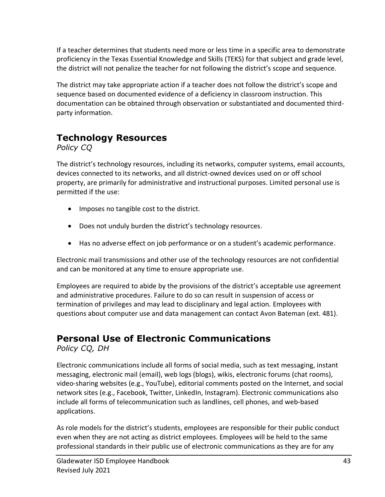If a teacher determines that students need more or less time in a specific area to demonstrate proficiency in the Texas Essential Knowledge and Skills (TEKS) for that subject and grade level, the district will not penalize the teacher for not following the district's scope and sequence.

The district may take appropriate action if a teacher does not follow the district's scope and sequence based on documented evidence of a deficiency in classroom instruction. This documentation can be obtained through observation or substantiated and documented thirdparty information.

## **Technology Resources**

*Policy CQ*

The district's technology resources, including its networks, computer systems, email accounts, devices connected to its networks, and all district-owned devices used on or off school property, are primarily for administrative and instructional purposes. Limited personal use is permitted if the use:

- Imposes no tangible cost to the district.
- Does not unduly burden the district's technology resources.
- Has no adverse effect on job performance or on a student's academic performance.

Electronic mail transmissions and other use of the technology resources are not confidential and can be monitored at any time to ensure appropriate use.

Employees are required to abide by the provisions of the district's acceptable use agreement and administrative procedures. Failure to do so can result in suspension of access or termination of privileges and may lead to disciplinary and legal action. Employees with questions about computer use and data management can contact Avon Bateman (ext. 481).

### **Personal Use of Electronic Communications**

*Policy CQ, DH*

Electronic communications include all forms of social media, such as text messaging, instant messaging, electronic mail (email), web logs (blogs), wikis, electronic forums (chat rooms), video-sharing websites (e.g., YouTube), editorial comments posted on the Internet, and social network sites (e.g., Facebook, Twitter, LinkedIn, Instagram). Electronic communications also include all forms of telecommunication such as landlines, cell phones, and web-based applications.

As role models for the district's students, employees are responsible for their public conduct even when they are not acting as district employees. Employees will be held to the same professional standards in their public use of electronic communications as they are for any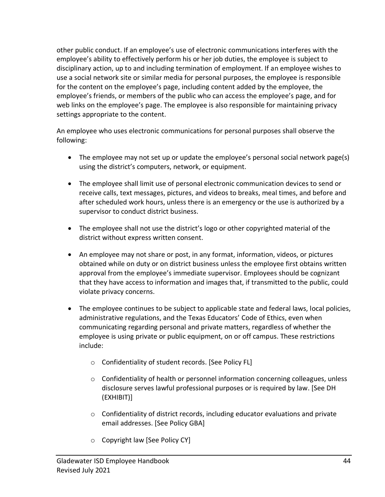other public conduct. If an employee's use of electronic communications interferes with the employee's ability to effectively perform his or her job duties, the employee is subject to disciplinary action, up to and including termination of employment. If an employee wishes to use a social network site or similar media for personal purposes, the employee is responsible for the content on the employee's page, including content added by the employee, the employee's friends, or members of the public who can access the employee's page, and for web links on the employee's page. The employee is also responsible for maintaining privacy settings appropriate to the content.

An employee who uses electronic communications for personal purposes shall observe the following:

- The employee may not set up or update the employee's personal social network page(s) using the district's computers, network, or equipment.
- The employee shall limit use of personal electronic communication devices to send or receive calls, text messages, pictures, and videos to breaks, meal times, and before and after scheduled work hours, unless there is an emergency or the use is authorized by a supervisor to conduct district business.
- The employee shall not use the district's logo or other copyrighted material of the district without express written consent.
- An employee may not share or post, in any format, information, videos, or pictures obtained while on duty or on district business unless the employee first obtains written approval from the employee's immediate supervisor. Employees should be cognizant that they have access to information and images that, if transmitted to the public, could violate privacy concerns.
- The employee continues to be subject to applicable state and federal laws, local policies, administrative regulations, and the Texas Educators' Code of Ethics, even when communicating regarding personal and private matters, regardless of whether the employee is using private or public equipment, on or off campus. These restrictions include:
	- o Confidentiality of student records. [See Policy FL]
	- $\circ$  Confidentiality of health or personnel information concerning colleagues, unless disclosure serves lawful professional purposes or is required by law. [See DH (EXHIBIT)]
	- o Confidentiality of district records, including educator evaluations and private email addresses. [See Policy GBA]
	- o Copyright law [See Policy CY]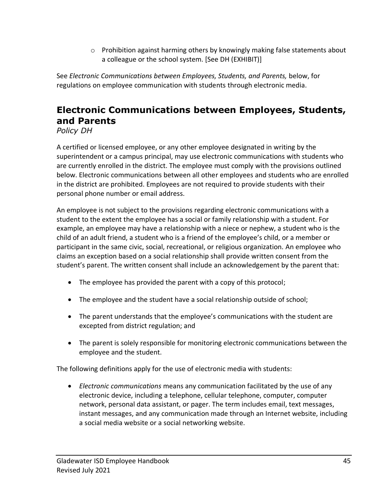$\circ$  Prohibition against harming others by knowingly making false statements about a colleague or the school system. [See DH (EXHIBIT)]

See *Electronic Communications between Employees, Students, and Parents,* below, for regulations on employee communication with students through electronic media.

### **Electronic Communications between Employees, Students, and Parents**

*Policy DH*

A certified or licensed employee, or any other employee designated in writing by the superintendent or a campus principal, may use electronic communications with students who are currently enrolled in the district. The employee must comply with the provisions outlined below. Electronic communications between all other employees and students who are enrolled in the district are prohibited. Employees are not required to provide students with their personal phone number or email address.

An employee is not subject to the provisions regarding electronic communications with a student to the extent the employee has a social or family relationship with a student. For example, an employee may have a relationship with a niece or nephew, a student who is the child of an adult friend, a student who is a friend of the employee's child, or a member or participant in the same civic, social, recreational, or religious organization. An employee who claims an exception based on a social relationship shall provide written consent from the student's parent. The written consent shall include an acknowledgement by the parent that:

- The employee has provided the parent with a copy of this protocol;
- The employee and the student have a social relationship outside of school;
- The parent understands that the employee's communications with the student are excepted from district regulation; and
- The parent is solely responsible for monitoring electronic communications between the employee and the student.

The following definitions apply for the use of electronic media with students:

• *Electronic communications* means any communication facilitated by the use of any electronic device, including a telephone, cellular telephone, computer, computer network, personal data assistant, or pager. The term includes email, text messages, instant messages, and any communication made through an Internet website, including a social media website or a social networking website.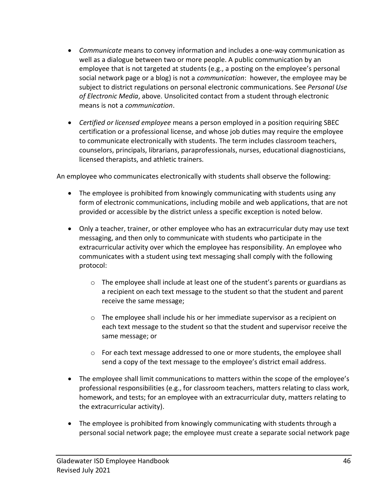- *Communicate* means to convey information and includes a one-way communication as well as a dialogue between two or more people. A public communication by an employee that is not targeted at students (e.g., a posting on the employee's personal social network page or a blog) is not a *communication*: however, the employee may be subject to district regulations on personal electronic communications. See *Personal Use of Electronic Media*, above. Unsolicited contact from a student through electronic means is not a *communication*.
- *Certified or licensed employee* means a person employed in a position requiring SBEC certification or a professional license, and whose job duties may require the employee to communicate electronically with students. The term includes classroom teachers, counselors, principals, librarians, paraprofessionals, nurses, educational diagnosticians, licensed therapists, and athletic trainers.

An employee who communicates electronically with students shall observe the following:

- The employee is prohibited from knowingly communicating with students using any form of electronic communications, including mobile and web applications, that are not provided or accessible by the district unless a specific exception is noted below.
- Only a teacher, trainer, or other employee who has an extracurricular duty may use text messaging, and then only to communicate with students who participate in the extracurricular activity over which the employee has responsibility. An employee who communicates with a student using text messaging shall comply with the following protocol:
	- $\circ$  The employee shall include at least one of the student's parents or guardians as a recipient on each text message to the student so that the student and parent receive the same message;
	- o The employee shall include his or her immediate supervisor as a recipient on each text message to the student so that the student and supervisor receive the same message; or
	- $\circ$  For each text message addressed to one or more students, the employee shall send a copy of the text message to the employee's district email address.
- The employee shall limit communications to matters within the scope of the employee's professional responsibilities (e.g., for classroom teachers, matters relating to class work, homework, and tests; for an employee with an extracurricular duty, matters relating to the extracurricular activity).
- The employee is prohibited from knowingly communicating with students through a personal social network page; the employee must create a separate social network page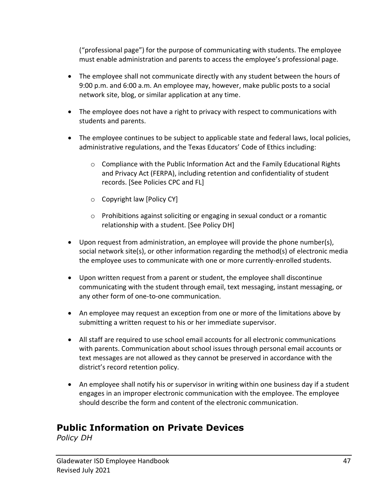("professional page") for the purpose of communicating with students. The employee must enable administration and parents to access the employee's professional page.

- The employee shall not communicate directly with any student between the hours of 9:00 p.m. and 6:00 a.m. An employee may, however, make public posts to a social network site, blog, or similar application at any time.
- The employee does not have a right to privacy with respect to communications with students and parents.
- The employee continues to be subject to applicable state and federal laws, local policies, administrative regulations, and the Texas Educators' Code of Ethics including:
	- $\circ$  Compliance with the Public Information Act and the Family Educational Rights and Privacy Act (FERPA), including retention and confidentiality of student records. [See Policies CPC and FL]
	- o Copyright law [Policy CY]
	- $\circ$  Prohibitions against soliciting or engaging in sexual conduct or a romantic relationship with a student. [See Policy DH]
- Upon request from administration, an employee will provide the phone number(s), social network site(s), or other information regarding the method(s) of electronic media the employee uses to communicate with one or more currently-enrolled students.
- Upon written request from a parent or student, the employee shall discontinue communicating with the student through email, text messaging, instant messaging, or any other form of one-to-one communication.
- An employee may request an exception from one or more of the limitations above by submitting a written request to his or her immediate supervisor.
- All staff are required to use school email accounts for all electronic communications with parents. Communication about school issues through personal email accounts or text messages are not allowed as they cannot be preserved in accordance with the district's record retention policy.
- An employee shall notify his or supervisor in writing within one business day if a student engages in an improper electronic communication with the employee. The employee should describe the form and content of the electronic communication.

### **Public Information on Private Devices**

*Policy DH*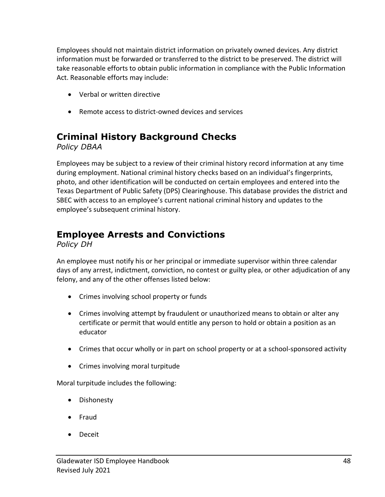Employees should not maintain district information on privately owned devices. Any district information must be forwarded or transferred to the district to be preserved. The district will take reasonable efforts to obtain public information in compliance with the Public Information Act. Reasonable efforts may include:

- Verbal or written directive
- Remote access to district-owned devices and services

### **Criminal History Background Checks**

*Policy DBAA*

Employees may be subject to a review of their criminal history record information at any time during employment. National criminal history checks based on an individual's fingerprints, photo, and other identification will be conducted on certain employees and entered into the Texas Department of Public Safety (DPS) Clearinghouse. This database provides the district and SBEC with access to an employee's current national criminal history and updates to the employee's subsequent criminal history.

### **Employee Arrests and Convictions**

*Policy DH*

An employee must notify his or her principal or immediate supervisor within three calendar days of any arrest, indictment, conviction, no contest or guilty plea, or other adjudication of any felony, and any of the other offenses listed below:

- Crimes involving school property or funds
- Crimes involving attempt by fraudulent or unauthorized means to obtain or alter any certificate or permit that would entitle any person to hold or obtain a position as an educator
- Crimes that occur wholly or in part on school property or at a school-sponsored activity
- Crimes involving moral turpitude

Moral turpitude includes the following:

- Dishonesty
- Fraud
- Deceit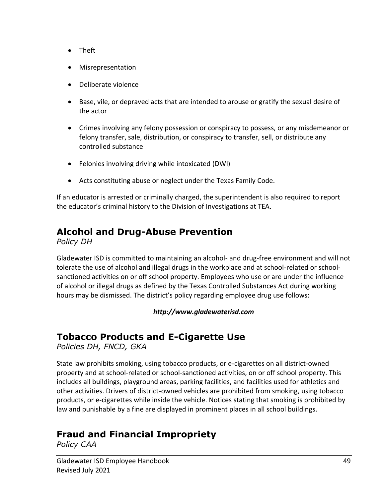- Theft
- Misrepresentation
- Deliberate violence
- Base, vile, or depraved acts that are intended to arouse or gratify the sexual desire of the actor
- Crimes involving any felony possession or conspiracy to possess, or any misdemeanor or felony transfer, sale, distribution, or conspiracy to transfer, sell, or distribute any controlled substance
- Felonies involving driving while intoxicated (DWI)
- Acts constituting abuse or neglect under the Texas Family Code.

If an educator is arrested or criminally charged, the superintendent is also required to report the educator's criminal history to the Division of Investigations at TEA.

### **Alcohol and Drug-Abuse Prevention**

*Policy DH*

Gladewater ISD is committed to maintaining an alcohol- and drug-free environment and will not tolerate the use of alcohol and illegal drugs in the workplace and at school-related or schoolsanctioned activities on or off school property. Employees who use or are under the influence of alcohol or illegal drugs as defined by the Texas Controlled Substances Act during working hours may be dismissed. The district's policy regarding employee drug use follows:

#### *http://www.gladewaterisd.com*

### **Tobacco Products and E-Cigarette Use**

*Policies DH, FNCD, GKA*

State law prohibits smoking, using tobacco products, or e-cigarettes on all district-owned property and at school-related or school-sanctioned activities, on or off school property. This includes all buildings, playground areas, parking facilities, and facilities used for athletics and other activities. Drivers of district-owned vehicles are prohibited from smoking, using tobacco products, or e-cigarettes while inside the vehicle. Notices stating that smoking is prohibited by law and punishable by a fine are displayed in prominent places in all school buildings.

### **Fraud and Financial Impropriety**

*Policy CAA*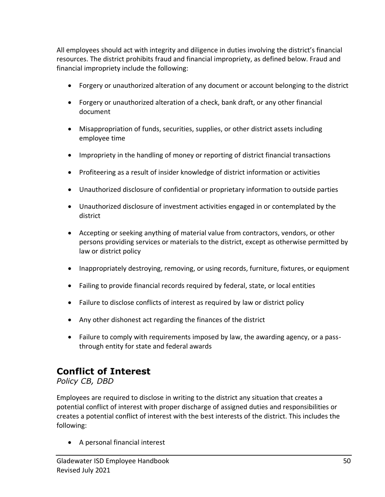All employees should act with integrity and diligence in duties involving the district's financial resources. The district prohibits fraud and financial impropriety, as defined below. Fraud and financial impropriety include the following:

- Forgery or unauthorized alteration of any document or account belonging to the district
- Forgery or unauthorized alteration of a check, bank draft, or any other financial document
- Misappropriation of funds, securities, supplies, or other district assets including employee time
- Impropriety in the handling of money or reporting of district financial transactions
- Profiteering as a result of insider knowledge of district information or activities
- Unauthorized disclosure of confidential or proprietary information to outside parties
- Unauthorized disclosure of investment activities engaged in or contemplated by the district
- Accepting or seeking anything of material value from contractors, vendors, or other persons providing services or materials to the district, except as otherwise permitted by law or district policy
- Inappropriately destroying, removing, or using records, furniture, fixtures, or equipment
- Failing to provide financial records required by federal, state, or local entities
- Failure to disclose conflicts of interest as required by law or district policy
- Any other dishonest act regarding the finances of the district
- Failure to comply with requirements imposed by law, the awarding agency, or a passthrough entity for state and federal awards

### **Conflict of Interest**

*Policy CB, DBD*

Employees are required to disclose in writing to the district any situation that creates a potential conflict of interest with proper discharge of assigned duties and responsibilities or creates a potential conflict of interest with the best interests of the district. This includes the following:

• A personal financial interest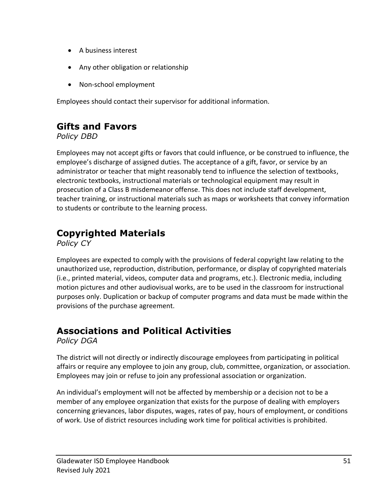- A business interest
- Any other obligation or relationship
- Non-school employment

Employees should contact their supervisor for additional information.

### **Gifts and Favors**

*Policy DBD*

Employees may not accept gifts or favors that could influence, or be construed to influence, the employee's discharge of assigned duties. The acceptance of a gift, favor, or service by an administrator or teacher that might reasonably tend to influence the selection of textbooks, electronic textbooks, instructional materials or technological equipment may result in prosecution of a Class B misdemeanor offense. This does not include staff development, teacher training, or instructional materials such as maps or worksheets that convey information to students or contribute to the learning process.

### **Copyrighted Materials**

*Policy CY*

Employees are expected to comply with the provisions of federal copyright law relating to the unauthorized use, reproduction, distribution, performance, or display of copyrighted materials (i.e., printed material, videos, computer data and programs, etc.). Electronic media, including motion pictures and other audiovisual works, are to be used in the classroom for instructional purposes only. Duplication or backup of computer programs and data must be made within the provisions of the purchase agreement.

### **Associations and Political Activities**

*Policy DGA*

The district will not directly or indirectly discourage employees from participating in political affairs or require any employee to join any group, club, committee, organization, or association. Employees may join or refuse to join any professional association or organization.

An individual's employment will not be affected by membership or a decision not to be a member of any employee organization that exists for the purpose of dealing with employers concerning grievances, labor disputes, wages, rates of pay, hours of employment, or conditions of work. Use of district resources including work time for political activities is prohibited.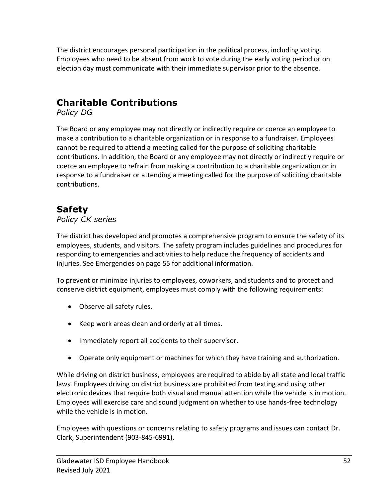The district encourages personal participation in the political process, including voting. Employees who need to be absent from work to vote during the early voting period or on election day must communicate with their immediate supervisor prior to the absence.

### **Charitable Contributions**

*Policy DG*

The Board or any employee may not directly or indirectly require or coerce an employee to make a contribution to a charitable organization or in response to a fundraiser. Employees cannot be required to attend a meeting called for the purpose of soliciting charitable contributions. In addition, the Board or any employee may not directly or indirectly require or coerce an employee to refrain from making a contribution to a charitable organization or in response to a fundraiser or attending a meeting called for the purpose of soliciting charitable contributions.

### **Safety**

#### *Policy CK series*

The district has developed and promotes a comprehensive program to ensure the safety of its employees, students, and visitors. The safety program includes guidelines and procedures for responding to emergencies and activities to help reduce the frequency of accidents and injuries. See Emergencies on page 55 for additional information.

To prevent or minimize injuries to employees, coworkers, and students and to protect and conserve district equipment, employees must comply with the following requirements:

- Observe all safety rules.
- Keep work areas clean and orderly at all times.
- Immediately report all accidents to their supervisor.
- Operate only equipment or machines for which they have training and authorization.

While driving on district business, employees are required to abide by all state and local traffic laws. Employees driving on district business are prohibited from texting and using other electronic devices that require both visual and manual attention while the vehicle is in motion. Employees will exercise care and sound judgment on whether to use hands-free technology while the vehicle is in motion.

Employees with questions or concerns relating to safety programs and issues can contact Dr. Clark, Superintendent (903-845-6991).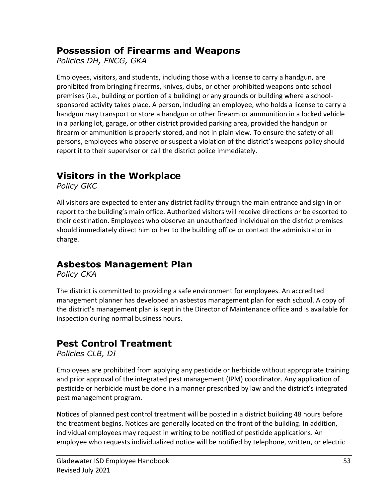### **Possession of Firearms and Weapons**

*Policies DH, FNCG, GKA*

Employees, visitors, and students, including those with a license to carry a handgun, are prohibited from bringing firearms, knives, clubs, or other prohibited weapons onto school premises (i.e., building or portion of a building) or any grounds or building where a schoolsponsored activity takes place. A person, including an employee, who holds a license to carry a handgun may transport or store a handgun or other firearm or ammunition in a locked vehicle in a parking lot, garage, or other district provided parking area, provided the handgun or firearm or ammunition is properly stored, and not in plain view. To ensure the safety of all persons, employees who observe or suspect a violation of the district's weapons policy should report it to their supervisor or call the district police immediately.

### **Visitors in the Workplace**

*Policy GKC*

All visitors are expected to enter any district facility through the main entrance and sign in or report to the building's main office. Authorized visitors will receive directions or be escorted to their destination. Employees who observe an unauthorized individual on the district premises should immediately direct him or her to the building office or contact the administrator in charge.

### **Asbestos Management Plan**

*Policy CKA*

The district is committed to providing a safe environment for employees. An accredited management planner has developed an asbestos management plan for each school. A copy of the district's management plan is kept in the Director of Maintenance office and is available for inspection during normal business hours.

### **Pest Control Treatment**

*Policies CLB, DI*

Employees are prohibited from applying any pesticide or herbicide without appropriate training and prior approval of the integrated pest management (IPM) coordinator. Any application of pesticide or herbicide must be done in a manner prescribed by law and the district's integrated pest management program.

Notices of planned pest control treatment will be posted in a district building 48 hours before the treatment begins. Notices are generally located on the front of the building. In addition, individual employees may request in writing to be notified of pesticide applications. An employee who requests individualized notice will be notified by telephone, written, or electric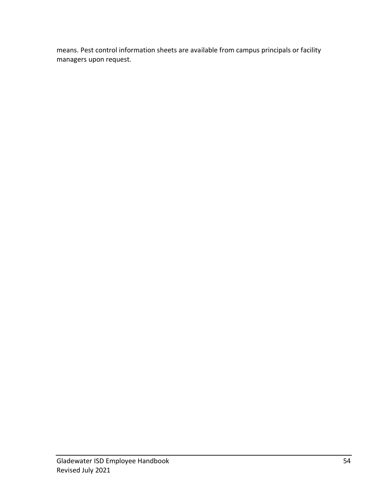means. Pest control information sheets are available from campus principals or facility managers upon request.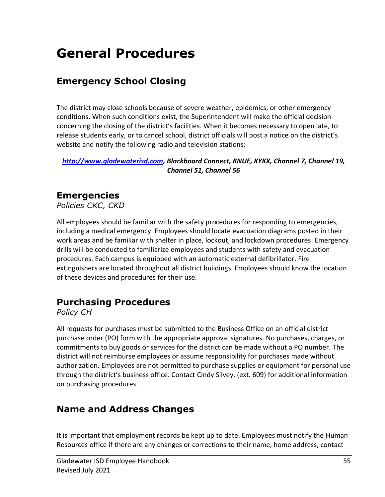## **General Procedures**

### **Emergency School Closing**

The district may close schools because of severe weather, epidemics, or other emergency conditions. When such conditions exist, the Superintendent will make the official decision concerning the closing of the district's facilities. When it becomes necessary to open late, to release students early, or to cancel school, district officials will post a notice on the district's website and notify the following radio and television stations:

*[http://www.gladewaterisd.com,](http://www.gladewaterisd.com/) Blackboard Connect, KNUE, KYKX, Channel 7, Channel 19, Channel 51, Channel 56*

### **Emergencies**

*Policies CKC, CKD*

All employees should be familiar with the safety procedures for responding to emergencies, including a medical emergency. Employees should locate evacuation diagrams posted in their work areas and be familiar with shelter in place, lockout, and lockdown procedures. Emergency drills will be conducted to familiarize employees and students with safety and evacuation procedures. Each campus is equipped with an automatic external defibrillator. Fire extinguishers are located throughout all district buildings. Employees should know the location of these devices and procedures for their use.

### **Purchasing Procedures**

*Policy CH*

All requests for purchases must be submitted to the Business Office on an official district purchase order (PO) form with the appropriate approval signatures. No purchases, charges, or commitments to buy goods or services for the district can be made without a PO number. The district will not reimburse employees or assume responsibility for purchases made without authorization. Employees are not permitted to purchase supplies or equipment for personal use through the district's business office. Contact Cindy Silvey, (ext. 609) for additional information on purchasing procedures.

### **Name and Address Changes**

It is important that employment records be kept up to date. Employees must notify the Human Resources office if there are any changes or corrections to their name, home address, contact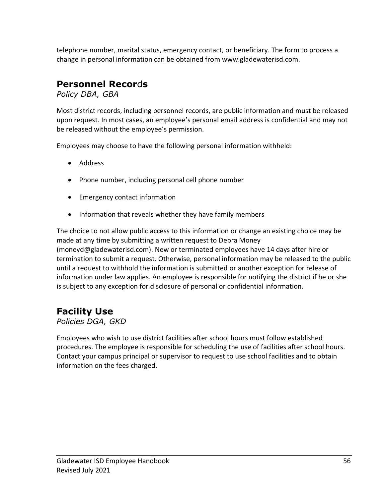telephone number, marital status, emergency contact, or beneficiary. The form to process a change in personal information can be obtained from www.gladewaterisd.com.

### **Personnel Recor**d**s**

*Policy DBA, GBA*

Most district records, including personnel records, are public information and must be released upon request. In most cases, an employee's personal email address is confidential and may not be released without the employee's permission.

Employees may choose to have the following personal information withheld:

- Address
- Phone number, including personal cell phone number
- Emergency contact information
- Information that reveals whether they have family members

The choice to not allow public access to this information or change an existing choice may be made at any time by submitting a written request to Debra Money (moneyd@gladewaterisd.com). New or terminated employees have 14 days after hire or termination to submit a request. Otherwise, personal information may be released to the public until a request to withhold the information is submitted or another exception for release of information under law applies. An employee is responsible for notifying the district if he or she is subject to any exception for disclosure of personal or confidential information.

### **Facility Use**

*Policies DGA, GKD*

Employees who wish to use district facilities after school hours must follow established procedures. The employee is responsible for scheduling the use of facilities after school hours. Contact your campus principal or supervisor to request to use school facilities and to obtain information on the fees charged.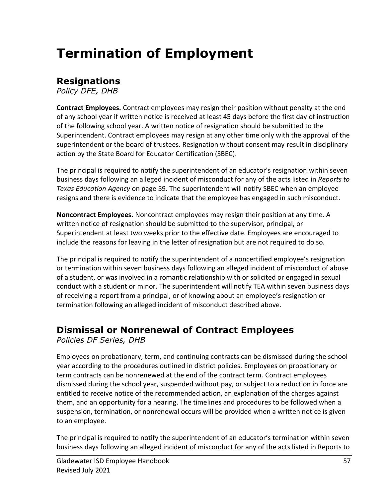## **Termination of Employment**

### **Resignations**

*Policy DFE, DHB*

**Contract Employees.** Contract employees may resign their position without penalty at the end of any school year if written notice is received at least 45 days before the first day of instruction of the following school year. A written notice of resignation should be submitted to the Superintendent. Contract employees may resign at any other time only with the approval of the superintendent or the board of trustees. Resignation without consent may result in disciplinary action by the State Board for Educator Certification (SBEC).

The principal is required to notify the superintendent of an educator's resignation within seven business days following an alleged incident of misconduct for any of the acts listed in *Reports to Texas Education Agency* on page 59. The superintendent will notify SBEC when an employee resigns and there is evidence to indicate that the employee has engaged in such misconduct.

**Noncontract Employees.** Noncontract employees may resign their position at any time. A written notice of resignation should be submitted to the supervisor, principal, or Superintendent at least two weeks prior to the effective date. Employees are encouraged to include the reasons for leaving in the letter of resignation but are not required to do so.

The principal is required to notify the superintendent of a noncertified employee's resignation or termination within seven business days following an alleged incident of misconduct of abuse of a student, or was involved in a romantic relationship with or solicited or engaged in sexual conduct with a student or minor. The superintendent will notify TEA within seven business days of receiving a report from a principal, or of knowing about an employee's resignation or termination following an alleged incident of misconduct described above.

### **Dismissal or Nonrenewal of Contract Employees**

*Policies DF Series, DHB*

Employees on probationary, term, and continuing contracts can be dismissed during the school year according to the procedures outlined in district policies. Employees on probationary or term contracts can be nonrenewed at the end of the contract term. Contract employees dismissed during the school year, suspended without pay, or subject to a reduction in force are entitled to receive notice of the recommended action, an explanation of the charges against them, and an opportunity for a hearing. The timelines and procedures to be followed when a suspension, termination, or nonrenewal occurs will be provided when a written notice is given to an employee.

The principal is required to notify the superintendent of an educator's termination within seven business days following an alleged incident of misconduct for any of the acts listed in Reports to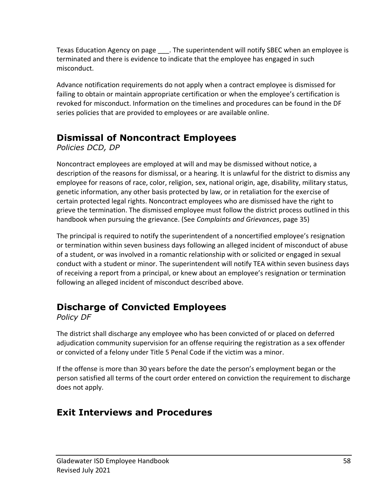Texas Education Agency on page . The superintendent will notify SBEC when an employee is terminated and there is evidence to indicate that the employee has engaged in such misconduct.

Advance notification requirements do not apply when a contract employee is dismissed for failing to obtain or maintain appropriate certification or when the employee's certification is revoked for misconduct. Information on the timelines and procedures can be found in the DF series policies that are provided to employees or are available online.

### **Dismissal of Noncontract Employees**

*Policies DCD, DP*

Noncontract employees are employed at will and may be dismissed without notice, a description of the reasons for dismissal, or a hearing. It is unlawful for the district to dismiss any employee for reasons of race, color, religion, sex, national origin, age, disability, military status, genetic information, any other basis protected by law, or in retaliation for the exercise of certain protected legal rights. Noncontract employees who are dismissed have the right to grieve the termination. The dismissed employee must follow the district process outlined in this handbook when pursuing the grievance. (See *Complaints and Grievances*, page 35)

The principal is required to notify the superintendent of a noncertified employee's resignation or termination within seven business days following an alleged incident of misconduct of abuse of a student, or was involved in a romantic relationship with or solicited or engaged in sexual conduct with a student or minor. The superintendent will notify TEA within seven business days of receiving a report from a principal, or knew about an employee's resignation or termination following an alleged incident of misconduct described above.

### **Discharge of Convicted Employees**

*Policy DF*

The district shall discharge any employee who has been convicted of or placed on deferred adjudication community supervision for an offense requiring the registration as a sex offender or convicted of a felony under Title 5 Penal Code if the victim was a minor.

If the offense is more than 30 years before the date the person's employment began or the person satisfied all terms of the court order entered on conviction the requirement to discharge does not apply.

### **Exit Interviews and Procedures**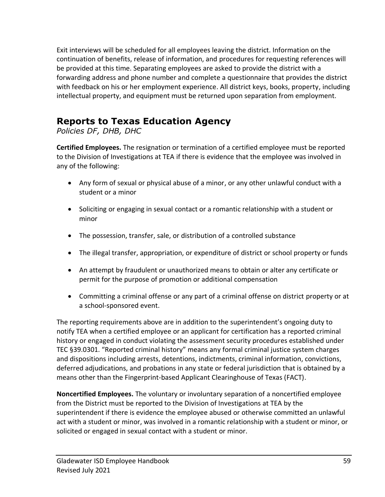Exit interviews will be scheduled for all employees leaving the district. Information on the continuation of benefits, release of information, and procedures for requesting references will be provided at this time. Separating employees are asked to provide the district with a forwarding address and phone number and complete a questionnaire that provides the district with feedback on his or her employment experience. All district keys, books, property, including intellectual property, and equipment must be returned upon separation from employment.

### **Reports to Texas Education Agency**

*Policies DF, DHB, DHC*

**Certified Employees.** The resignation or termination of a certified employee must be reported to the Division of Investigations at TEA if there is evidence that the employee was involved in any of the following:

- Any form of sexual or physical abuse of a minor, or any other unlawful conduct with a student or a minor
- Soliciting or engaging in sexual contact or a romantic relationship with a student or minor
- The possession, transfer, sale, or distribution of a controlled substance
- The illegal transfer, appropriation, or expenditure of district or school property or funds
- An attempt by fraudulent or unauthorized means to obtain or alter any certificate or permit for the purpose of promotion or additional compensation
- Committing a criminal offense or any part of a criminal offense on district property or at a school-sponsored event.

The reporting requirements above are in addition to the superintendent's ongoing duty to notify TEA when a certified employee or an applicant for certification has a reported criminal history or engaged in conduct violating the assessment security procedures established under TEC §39.0301. "Reported criminal history" means any formal criminal justice system charges and dispositions including arrests, detentions, indictments, criminal information, convictions, deferred adjudications, and probations in any state or federal jurisdiction that is obtained by a means other than the Fingerprint-based Applicant Clearinghouse of Texas (FACT).

**Noncertified Employees.** The voluntary or involuntary separation of a noncertified employee from the District must be reported to the Division of Investigations at TEA by the superintendent if there is evidence the employee abused or otherwise committed an unlawful act with a student or minor, was involved in a romantic relationship with a student or minor, or solicited or engaged in sexual contact with a student or minor.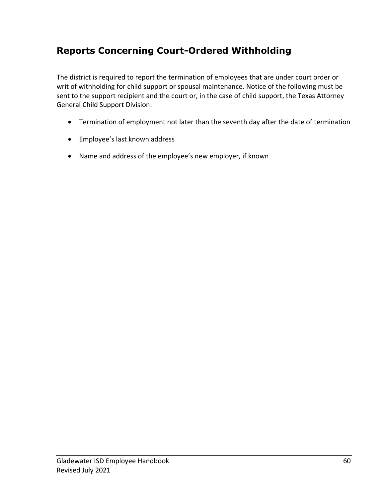### **Reports Concerning Court-Ordered Withholding**

The district is required to report the termination of employees that are under court order or writ of withholding for child support or spousal maintenance. Notice of the following must be sent to the support recipient and the court or, in the case of child support, the Texas Attorney General Child Support Division:

- Termination of employment not later than the seventh day after the date of termination
- Employee's last known address
- Name and address of the employee's new employer, if known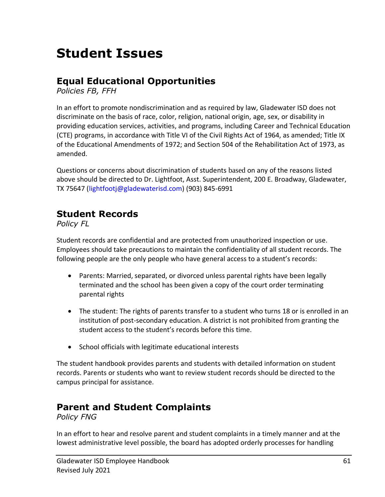## **Student Issues**

### **Equal Educational Opportunities**

*Policies FB, FFH*

In an effort to promote nondiscrimination and as required by law, Gladewater ISD does not discriminate on the basis of race, color, religion, national origin, age, sex, or disability in providing education services, activities, and programs, including Career and Technical Education (CTE) programs, in accordance with Title VI of the Civil Rights Act of 1964, as amended; Title IX of the Educational Amendments of 1972; and Section 504 of the Rehabilitation Act of 1973, as amended.

Questions or concerns about discrimination of students based on any of the reasons listed above should be directed to Dr. Lightfoot, Asst. Superintendent, 200 E. Broadway, Gladewater, TX 75647 [\(lightfootj@gladewaterisd.com\)](mailto:lightfootj@gladewaterisd.com) (903) 845-6991

### **Student Records**

*Policy FL*

Student records are confidential and are protected from unauthorized inspection or use. Employees should take precautions to maintain the confidentiality of all student records. The following people are the only people who have general access to a student's records:

- Parents: Married, separated, or divorced unless parental rights have been legally terminated and the school has been given a copy of the court order terminating parental rights
- The student: The rights of parents transfer to a student who turns 18 or is enrolled in an institution of post-secondary education. A district is not prohibited from granting the student access to the student's records before this time.
- School officials with legitimate educational interests

The student handbook provides parents and students with detailed information on student records. Parents or students who want to review student records should be directed to the campus principal for assistance.

### **Parent and Student Complaints**

*Policy FNG*

In an effort to hear and resolve parent and student complaints in a timely manner and at the lowest administrative level possible, the board has adopted orderly processes for handling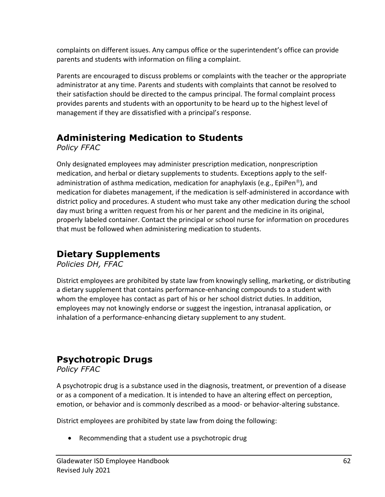complaints on different issues. Any campus office or the superintendent's office can provide parents and students with information on filing a complaint.

Parents are encouraged to discuss problems or complaints with the teacher or the appropriate administrator at any time. Parents and students with complaints that cannot be resolved to their satisfaction should be directed to the campus principal. The formal complaint process provides parents and students with an opportunity to be heard up to the highest level of management if they are dissatisfied with a principal's response.

### **Administering Medication to Students**

*Policy FFAC*

Only designated employees may administer prescription medication, nonprescription medication, and herbal or dietary supplements to students. Exceptions apply to the selfadministration of asthma medication, medication for anaphylaxis (e.g., EpiPen<sup>®</sup>), and medication for diabetes management, if the medication is self-administered in accordance with district policy and procedures. A student who must take any other medication during the school day must bring a written request from his or her parent and the medicine in its original, properly labeled container. Contact the principal or school nurse for information on procedures that must be followed when administering medication to students.

### **Dietary Supplements**

*Policies DH, FFAC*

District employees are prohibited by state law from knowingly selling, marketing, or distributing a dietary supplement that contains performance-enhancing compounds to a student with whom the employee has contact as part of his or her school district duties. In addition, employees may not knowingly endorse or suggest the ingestion, intranasal application, or inhalation of a performance-enhancing dietary supplement to any student.

### **Psychotropic Drugs**

*Policy FFAC*

A psychotropic drug is a substance used in the diagnosis, treatment, or prevention of a disease or as a component of a medication. It is intended to have an altering effect on perception, emotion, or behavior and is commonly described as a mood- or behavior-altering substance.

District employees are prohibited by state law from doing the following:

• Recommending that a student use a psychotropic drug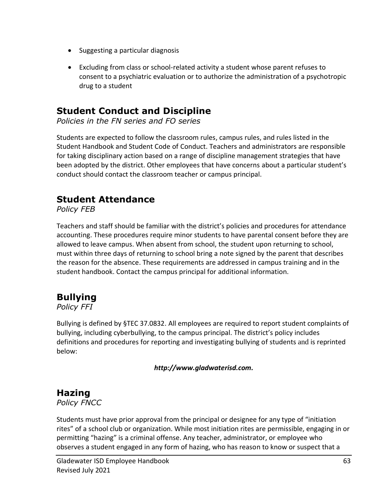- Suggesting a particular diagnosis
- Excluding from class or school-related activity a student whose parent refuses to consent to a psychiatric evaluation or to authorize the administration of a psychotropic drug to a student

### **Student Conduct and Discipline**

*Policies in the FN series and FO series*

Students are expected to follow the classroom rules, campus rules, and rules listed in the Student Handbook and Student Code of Conduct. Teachers and administrators are responsible for taking disciplinary action based on a range of discipline management strategies that have been adopted by the district. Other employees that have concerns about a particular student's conduct should contact the classroom teacher or campus principal.

### **Student Attendance**

*Policy FEB*

Teachers and staff should be familiar with the district's policies and procedures for attendance accounting. These procedures require minor students to have parental consent before they are allowed to leave campus. When absent from school, the student upon returning to school, must within three days of returning to school bring a note signed by the parent that describes the reason for the absence. These requirements are addressed in campus training and in the student handbook. Contact the campus principal for additional information.

### **Bullying**

*Policy FFI*

Bullying is defined by §TEC 37.0832. All employees are required to report student complaints of bullying, including cyberbullying, to the campus principal. The district's policy includes definitions and procedures for reporting and investigating bullying of students and is reprinted below:

*http://www.gladwaterisd.com.*

### **Hazing**

*Policy FNCC*

Students must have prior approval from the principal or designee for any type of "initiation rites" of a school club or organization. While most initiation rites are permissible, engaging in or permitting "hazing" is a criminal offense. Any teacher, administrator, or employee who observes a student engaged in any form of hazing, who has reason to know or suspect that a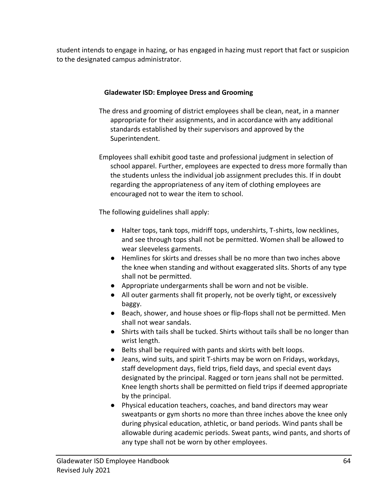student intends to engage in hazing, or has engaged in hazing must report that fact or suspicion to the designated campus administrator.

#### **Gladewater ISD: Employee Dress and Grooming**

- The dress and grooming of district employees shall be clean, neat, in a manner appropriate for their assignments, and in accordance with any additional standards established by their supervisors and approved by the Superintendent.
- Employees shall exhibit good taste and professional judgment in selection of school apparel. Further, employees are expected to dress more formally than the students unless the individual job assignment precludes this. If in doubt regarding the appropriateness of any item of clothing employees are encouraged not to wear the item to school.

The following guidelines shall apply:

- Halter tops, tank tops, midriff tops, undershirts, T-shirts, low necklines, and see through tops shall not be permitted. Women shall be allowed to wear sleeveless garments.
- Hemlines for skirts and dresses shall be no more than two inches above the knee when standing and without exaggerated slits. Shorts of any type shall not be permitted.
- Appropriate undergarments shall be worn and not be visible.
- All outer garments shall fit properly, not be overly tight, or excessively baggy.
- Beach, shower, and house shoes or flip-flops shall not be permitted. Men shall not wear sandals.
- Shirts with tails shall be tucked. Shirts without tails shall be no longer than wrist length.
- Belts shall be required with pants and skirts with belt loops.
- Jeans, wind suits, and spirit T-shirts may be worn on Fridays, workdays, staff development days, field trips, field days, and special event days designated by the principal. Ragged or torn jeans shall not be permitted. Knee length shorts shall be permitted on field trips if deemed appropriate by the principal.
- Physical education teachers, coaches, and band directors may wear sweatpants or gym shorts no more than three inches above the knee only during physical education, athletic, or band periods. Wind pants shall be allowable during academic periods. Sweat pants, wind pants, and shorts of any type shall not be worn by other employees.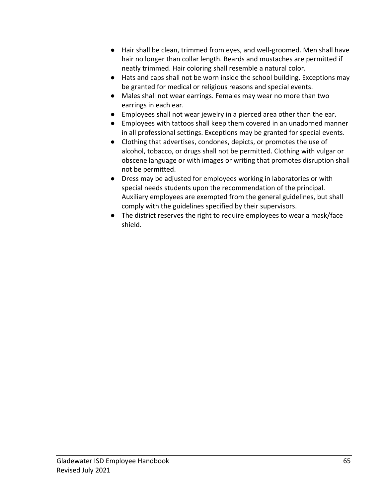- Hair shall be clean, trimmed from eyes, and well-groomed. Men shall have hair no longer than collar length. Beards and mustaches are permitted if neatly trimmed. Hair coloring shall resemble a natural color.
- Hats and caps shall not be worn inside the school building. Exceptions may be granted for medical or religious reasons and special events.
- Males shall not wear earrings. Females may wear no more than two earrings in each ear.
- Employees shall not wear jewelry in a pierced area other than the ear.
- Employees with tattoos shall keep them covered in an unadorned manner in all professional settings. Exceptions may be granted for special events.
- Clothing that advertises, condones, depicts, or promotes the use of alcohol, tobacco, or drugs shall not be permitted. Clothing with vulgar or obscene language or with images or writing that promotes disruption shall not be permitted.
- Dress may be adjusted for employees working in laboratories or with special needs students upon the recommendation of the principal. Auxiliary employees are exempted from the general guidelines, but shall comply with the guidelines specified by their supervisors.
- The district reserves the right to require employees to wear a mask/face shield.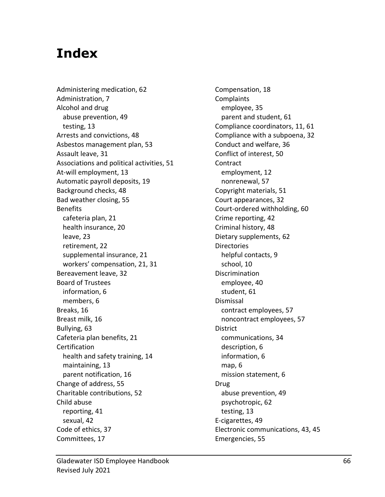## **Index**

Administering medication, 62 Administration, 7 Alcohol and drug abuse prevention, 49 testing, 13 Arrests and convictions, 48 Asbestos management plan, 53 Assault leave, 31 Associations and political activities, 51 At-will employment, 13 Automatic payroll deposits, 19 Background checks, 48 Bad weather closing, 55 Benefits cafeteria plan, 21 health insurance, 20 leave, 23 retirement, 22 supplemental insurance, 21 workers' compensation, 21, 31 Bereavement leave, 32 Board of Trustees information, 6 members, 6 Breaks, 16 Breast milk, 16 Bullying, 63 Cafeteria plan benefits, 21 Certification health and safety training, 14 maintaining, 13 parent notification, 16 Change of address, 55 Charitable contributions, 52 Child abuse reporting, 41 sexual, 42 Code of ethics, 37 Committees, 17

Compensation, 18 **Complaints** employee, 35 parent and student, 61 Compliance coordinators, 11, 61 Compliance with a subpoena, 32 Conduct and welfare, 36 Conflict of interest, 50 Contract employment, 12 nonrenewal, 57 Copyright materials, 51 Court appearances, 32 Court-ordered withholding, 60 Crime reporting, 42 Criminal history, 48 Dietary supplements, 62 **Directories** helpful contacts, 9 school, 10 Discrimination employee, 40 student, 61 Dismissal contract employees, 57 noncontract employees, 57 District communications, 34 description, 6 information, 6 map, 6 mission statement, 6 Drug abuse prevention, 49 psychotropic, 62 testing, 13 E-cigarettes, 49 Electronic communications, 43, 45 Emergencies, 55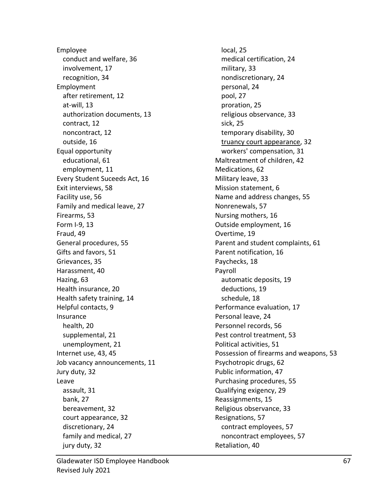Employee conduct and welfare, 36 involvement, 17 recognition, 34 Employment after retirement, 12 at-will, 13 authorization documents, 13 contract, 12 noncontract, 12 outside, 16 Equal opportunity educational, 61 employment, 11 Every Student Suceeds Act, 16 Exit interviews, 58 Facility use, 56 Family and medical leave, 27 Firearms, 53 Form I-9, 13 Fraud, 49 General procedures, 55 Gifts and favors, 51 Grievances, 35 Harassment, 40 Hazing, 63 Health insurance, 20 Health safety training, 14 Helpful contacts, 9 Insurance health, 20 supplemental, 21 unemployment, 21 Internet use, 43, 45 Job vacancy announcements, 11 Jury duty, 32 Leave assault, 31 bank, 27 bereavement, 32 court appearance, 32 discretionary, 24 family and medical, 27 jury duty, 32

local, 25 medical certification, 24 military, 33 nondiscretionary, 24 personal, 24 pool, 27 proration, 25 religious observance, 33 sick, 25 temporary disability, 30 truancy court appearance, 32 workers' compensation, 31 Maltreatment of children, 42 Medications, 62 Military leave, 33 Mission statement, 6 Name and address changes, 55 Nonrenewals, 57 Nursing mothers, 16 Outside employment, 16 Overtime, 19 Parent and student complaints, 61 Parent notification, 16 Paychecks, 18 Payroll automatic deposits, 19 deductions, 19 schedule, 18 Performance evaluation, 17 Personal leave, 24 Personnel records, 56 Pest control treatment, 53 Political activities, 51 Possession of firearms and weapons, 53 Psychotropic drugs, 62 Public information, 47 Purchasing procedures, 55 Qualifying exigency, 29 Reassignments, 15 Religious observance, 33 Resignations, 57 contract employees, 57 noncontract employees, 57 Retaliation, 40